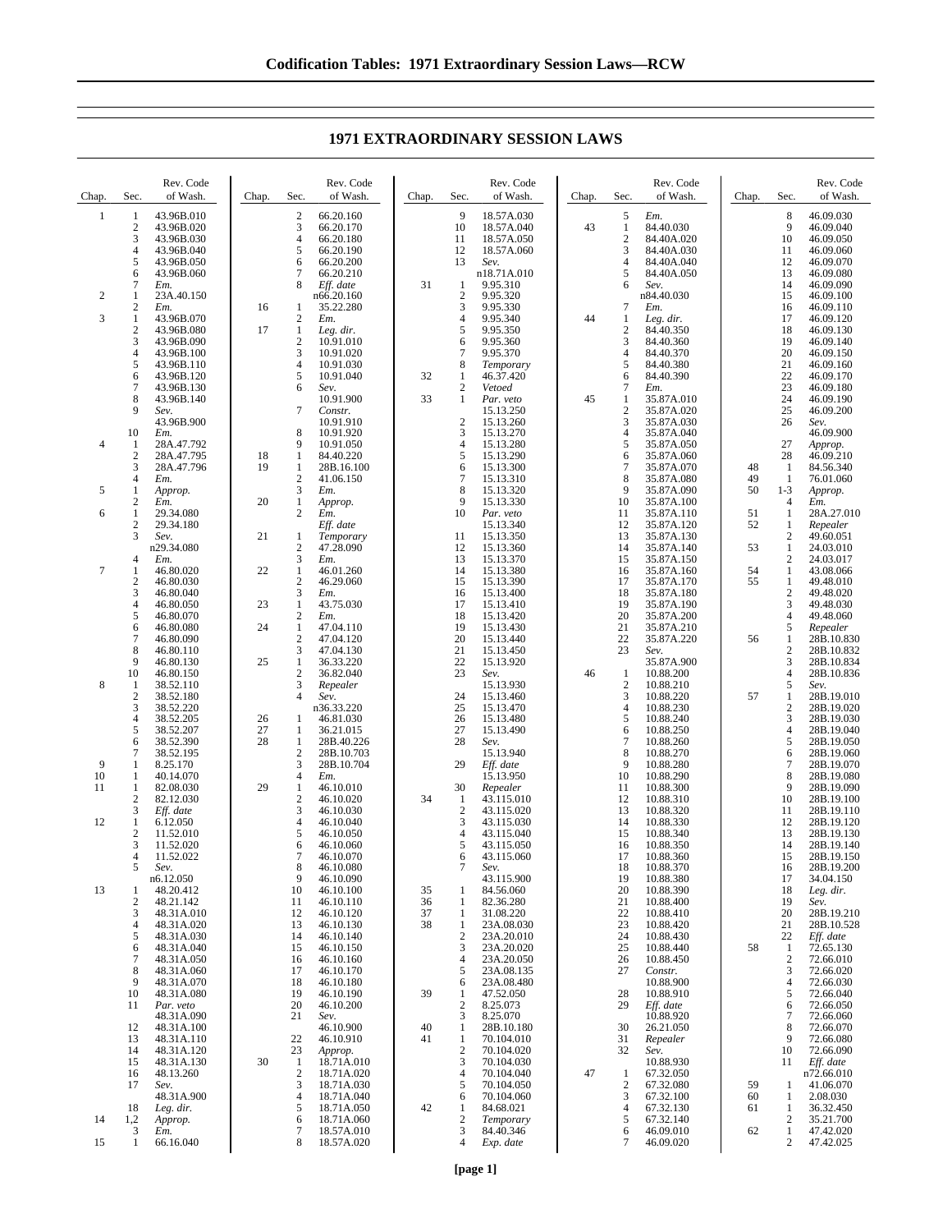**1971 EXTRAORDINARY SESSION LAWS**

| Chap.          | Sec.                                 | Rev. Code<br>of Wash.                                              | Chap.    | Sec.                               | Rev. Code<br>of Wash.                                         | Chap.    | Sec.                                | Rev. Code<br>of Wash.                                        | Chap. | Sec.                                                                             | Rev. Code<br>of Wash.                  | Chap.          | Sec.                                           | Rev. Code<br>of Wash.                                         |
|----------------|--------------------------------------|--------------------------------------------------------------------|----------|------------------------------------|---------------------------------------------------------------|----------|-------------------------------------|--------------------------------------------------------------|-------|----------------------------------------------------------------------------------|----------------------------------------|----------------|------------------------------------------------|---------------------------------------------------------------|
| 1              | 1<br>$\boldsymbol{2}$<br>3<br>4<br>5 | 43.96B.010<br>43.96B.020<br>43.96B.030<br>43.96B.040<br>43.96B.050 |          | 2<br>3<br>$\overline{4}$<br>5<br>6 | 66.20.160<br>66.20.170<br>66.20.180<br>66.20.190<br>66.20.200 |          | 9<br>10<br>11<br>12<br>13           | 18.57A.030<br>18.57A.040<br>18.57A.050<br>18.57A.060<br>Sev. | 43    | 5<br>Em.<br>$\mathbf{1}$<br>84.40.030<br>$\boldsymbol{2}$<br>3<br>$\overline{4}$ | 84.40A.020<br>84.40A.030<br>84.40A.040 |                | 8<br>9<br>10<br>11<br>12                       | 46.09.030<br>46.09.040<br>46.09.050<br>46.09.060<br>46.09.070 |
|                | 6<br>7                               | 43.96B.060<br>Em.                                                  |          | 7<br>8                             | 66.20.210<br>Eff. date                                        | 31       | $\mathbf{1}$<br>$\overline{2}$      | n18.71A.010<br>9.95.310                                      |       | 5<br>6<br>Sev.                                                                   | 84.40A.050                             |                | 13<br>14                                       | 46.09.080<br>46.09.090                                        |
| 2<br>3         | 1<br>$\sqrt{2}$<br>1                 | 23A.40.150<br>Em.<br>43.96B.070                                    | 16       | 1<br>$\overline{c}$                | n66.20.160<br>35.22.280<br>Em.                                |          | 3<br>4                              | 9.95.320<br>9.95.330                                         | 44    | n84.40.030<br>7<br>Em.<br>1                                                      |                                        |                | 15<br>16<br>17                                 | 46.09.100<br>46.09.110                                        |
|                | $\sqrt{2}$<br>3                      | 43.96B.080<br>43.96B.090                                           | 17       | 1<br>2                             | Leg. dir.<br>10.91.010                                        |          | 5<br>6                              | 9.95.340<br>9.95.350<br>9.95.360                             |       | Leg. dir.<br>$\boldsymbol{2}$<br>84.40.350<br>$\mathfrak{Z}$<br>84.40.360        |                                        |                | 18<br>19                                       | 46.09.120<br>46.09.130<br>46.09.140                           |
|                | 4<br>5                               | 43.96B.100<br>43.96B.110                                           |          | 3<br>4                             | 10.91.020<br>10.91.030                                        |          | $\overline{7}$<br>8                 | 9.95.370<br>Temporary                                        |       | 84.40.370<br>4<br>5<br>84.40.380                                                 |                                        |                | 20<br>21                                       | 46.09.150<br>46.09.160                                        |
|                | 6<br>7                               | 43.96B.120<br>43.96B.130                                           |          | 5<br>6                             | 10.91.040<br>Sev.                                             | 32       | $\mathbf{1}$<br>$\overline{2}$      | 46.37.420<br>Vetoed                                          |       | 6<br>84.40.390<br>$\overline{7}$<br>Em.                                          |                                        |                | 22<br>23                                       | 46.09.170<br>46.09.180                                        |
|                | 8<br>9                               | 43.96B.140<br>Sev.                                                 |          | 7                                  | 10.91.900<br>Constr.                                          | 33       | 1                                   | Par. veto<br>15.13.250                                       | 45    | 1<br>$\sqrt{2}$                                                                  | 35.87A.010<br>35.87A.020               |                | 24<br>25                                       | 46.09.190<br>46.09.200                                        |
|                | 10                                   | 43.96B.900<br>Em.                                                  |          | 8                                  | 10.91.910<br>10.91.920                                        |          | $\overline{2}$<br>3                 | 15.13.260<br>15.13.270                                       |       | 3<br>$\overline{4}$                                                              | 35.87A.030<br>35.87A.040               |                | 26                                             | Sev.<br>46.09.900                                             |
| $\overline{4}$ | 1<br>$\mathfrak{2}$                  | 28A.47.792<br>28A.47.795                                           | 18       | 9<br>$\mathbf{1}$                  | 10.91.050<br>84.40.220                                        |          | $\overline{4}$<br>5                 | 15.13.280<br>15.13.290                                       |       | 5<br>6                                                                           | 35.87A.050<br>35.87A.060               |                | 27<br>28                                       | Approp.<br>46.09.210                                          |
| 5              | 3<br>4<br>1                          | 28A.47.796<br>Em.<br>Approp.                                       | 19       | 1<br>$\overline{c}$<br>3           | 28B.16.100<br>41.06.150<br>Em.                                |          | 6<br>7<br>8                         | 15.13.300<br>15.13.310<br>15.13.320                          |       | $\tau$<br>8<br>9                                                                 | 35.87A.070<br>35.87A.080<br>35.87A.090 | 48<br>49<br>50 | -1<br>1<br>$1 - 3$                             | 84.56.340<br>76.01.060<br>Approp.                             |
| 6              | $\boldsymbol{2}$<br>$\mathbf{1}$     | Em.<br>29.34.080                                                   | 20       | 1<br>$\overline{c}$                | Approp.<br>Em.                                                |          | 9<br>10                             | 15.13.330<br>Par. veto                                       |       | 10<br>11                                                                         | 35.87A.100<br>35.87A.110               | 51             | 4<br>1                                         | Em.<br>28A.27.010                                             |
|                | 2<br>3                               | 29.34.180<br>Sev.                                                  | 21       | 1                                  | Eff. date<br>Temporary                                        |          | 11                                  | 15.13.340<br>15.13.350                                       |       | 12<br>13                                                                         | 35.87A.120<br>35.87A.130               | 52             | $\mathbf{1}$<br>$\boldsymbol{2}$               | Repealer<br>49.60.051                                         |
|                | 4                                    | n29.34.080<br>Em.                                                  |          | $\overline{c}$<br>3                | 47.28.090<br>Em.                                              |          | 12<br>13                            | 15.13.360<br>15.13.370                                       |       | 14<br>15                                                                         | 35.87A.140<br>35.87A.150               | 53             | 1<br>$\boldsymbol{2}$                          | 24.03.010<br>24.03.017                                        |
| 7              | 1<br>$\mathfrak{2}$<br>3             | 46.80.020<br>46.80.030<br>46.80.040                                | 22       | 1<br>2<br>3                        | 46.01.260<br>46.29.060<br>Em.                                 |          | 14<br>15<br>16                      | 15.13.380<br>15.13.390<br>15.13.400                          |       | 16<br>17<br>18                                                                   | 35.87A.160<br>35.87A.170<br>35.87A.180 | 54<br>55       | $\mathbf{1}$<br>$\mathbf{1}$<br>$\overline{c}$ | 43.08.066<br>49.48.010<br>49.48.020                           |
|                | 4<br>5                               | 46.80.050<br>46.80.070                                             | 23       | 1<br>$\overline{\mathbf{c}}$       | 43.75.030<br>Em.                                              |          | 17<br>18                            | 15.13.410<br>15.13.420                                       |       | 19<br>20                                                                         | 35.87A.190<br>35.87A.200               |                | 3<br>4                                         | 49.48.030<br>49.48.060                                        |
|                | 6<br>7                               | 46.80.080<br>46.80.090                                             | 24       | 1<br>$\sqrt{2}$                    | 47.04.110<br>47.04.120                                        |          | 19<br>20                            | 15.13.430<br>15.13.440                                       |       | 21<br>22                                                                         | 35.87A.210<br>35.87A.220               | 56             | 5<br>1                                         | Repealer<br>28B.10.830                                        |
|                | 8<br>9                               | 46.80.110<br>46.80.130                                             | 25       | 3<br>1                             | 47.04.130<br>36.33.220                                        |          | 21<br>22                            | 15.13.450<br>15.13.920                                       |       | 23<br>Sev.                                                                       | 35.87A.900                             |                | $\overline{c}$<br>3                            | 28B.10.832<br>28B.10.834                                      |
| 8              | 10<br>1<br>$\overline{2}$            | 46.80.150<br>38.52.110<br>38.52.180                                |          | 2<br>3<br>$\overline{4}$           | 36.82.040<br>Repealer<br>Sev.                                 |          | 23<br>24                            | Sev.<br>15.13.930<br>15.13.460                               | 46    | 1<br>10.88.200<br>$\overline{2}$<br>10.88.210<br>3<br>10.88.220                  |                                        | 57             | 4<br>5<br>$\mathbf{1}$                         | 28B.10.836<br>Sev.<br>28B.19.010                              |
|                | 3<br>$\overline{4}$                  | 38.52.220<br>38.52.205                                             | 26       | 1                                  | n36.33.220<br>46.81.030                                       |          | 25<br>26                            | 15.13.470<br>15.13.480                                       |       | $\overline{4}$<br>10.88.230<br>5<br>10.88.240                                    |                                        |                | 2<br>3                                         | 28B.19.020<br>28B.19.030                                      |
|                | 5<br>6                               | 38.52.207<br>38.52.390                                             | 27<br>28 | 1<br>1                             | 36.21.015<br>28B.40.226                                       |          | 27<br>28                            | 15.13.490<br>Sev.                                            |       | 6<br>10.88.250<br>$\tau$<br>10.88.260                                            |                                        |                | 4<br>5                                         | 28B.19.040<br>28B.19.050                                      |
| 9              | 7<br>1                               | 38.52.195<br>8.25.170                                              |          | $\overline{c}$<br>3                | 28B.10.703<br>28B.10.704                                      |          | 29                                  | 15.13.940<br>Eff. date                                       |       | 8<br>10.88.270<br>9<br>10.88.280                                                 |                                        |                | 6<br>7                                         | 28B.19.060<br>28B.19.070                                      |
| 10<br>11       | 1<br>1<br>$\mathfrak{2}$             | 40.14.070<br>82.08.030                                             | 29       | 4<br>1<br>2                        | Em.<br>46.10.010                                              | 34       | 30                                  | 15.13.950<br>Repealer                                        |       | 10<br>10.88.290<br>11<br>10.88.300                                               |                                        |                | 8<br>9<br>10                                   | 28B.19.080<br>28B.19.090                                      |
| 12             | 3<br>1                               | 82.12.030<br>Eff. date<br>6.12.050                                 |          | 3<br>4                             | 46.10.020<br>46.10.030<br>46.10.040                           |          | -1<br>$\overline{2}$<br>3           | 43.115.010<br>43.115.020<br>43.115.030                       |       | 12<br>10.88.310<br>13<br>10.88.320<br>14<br>10.88.330                            |                                        |                | 11<br>12                                       | 28B.19.100<br>28B.19.110<br>28B.19.120                        |
|                | $\overline{2}$<br>3                  | 11.52.010<br>11.52.020                                             |          | 5<br>6                             | 46.10.050<br>46.10.060                                        |          | 4<br>5                              | 43.115.040<br>43.115.050                                     |       | 15<br>10.88.340<br>16<br>10.88.350                                               |                                        |                | 13<br>14                                       | 28B.19.130<br>28B.19.140                                      |
|                | 4<br>5                               | 11.52.022<br>Sev.                                                  |          | 7<br>8                             | 46.10.070<br>46.10.080                                        |          | 6<br>7                              | 43.115.060<br>Sev.                                           |       | 17<br>10.88.360<br>10.88.370<br>18                                               |                                        |                | 15<br>16                                       | 28B.19.150<br>28B.19.200                                      |
| 13             | 1<br>$\overline{c}$                  | n6.12.050<br>48.20.412<br>48.21.142                                |          | 9<br>10<br>11                      | 46.10.090<br>46.10.100<br>46.10.110                           | 35<br>36 | 1<br>1                              | 43.115.900<br>84.56.060<br>82.36.280                         |       | 19<br>10.88.380<br>20<br>10.88.390<br>21<br>10.88.400                            |                                        |                | 17<br>18<br>19                                 | 34.04.150<br>Leg. dir.<br>Sev.                                |
|                | 3<br>4                               | 48.31A.010<br>48.31A.020                                           |          | 12<br>13                           | 46.10.120<br>46.10.130                                        | 37<br>38 | 1<br>$\mathbf{1}$                   | 31.08.220<br>23A.08.030                                      |       | 22<br>10.88.410<br>23<br>10.88.420                                               |                                        |                | 20<br>21                                       | 28B.19.210<br>28B.10.528                                      |
|                | 5<br>6                               | 48.31A.030<br>48.31A.040                                           |          | 14<br>15                           | 46.10.140<br>46.10.150                                        |          | $\overline{2}$<br>3                 | 23A.20.010<br>23A.20.020                                     |       | 10.88.430<br>24<br>25<br>10.88.440                                               |                                        | 58             | 22<br>1                                        | Eff. date<br>72.65.130                                        |
|                | 7<br>8                               | 48.31A.050<br>48.31A.060                                           |          | 16<br>17                           | 46.10.160<br>46.10.170                                        |          | 4<br>5                              | 23A.20.050<br>23A.08.135                                     |       | 10.88.450<br>26<br>27<br>Constr.                                                 |                                        |                | $\overline{c}$<br>3                            | 72.66.010<br>72.66.020                                        |
|                | 9<br>10<br>11                        | 48.31A.070<br>48.31A.080<br>Par. veto                              |          | 18<br>19<br>20                     | 46.10.180<br>46.10.190<br>46.10.200                           | 39       | 6<br>$\mathbf{1}$<br>$\overline{2}$ | 23A.08.480<br>47.52.050<br>8.25.073                          |       | 10.88.900<br>10.88.910<br>28<br>29<br>Eff. date                                  |                                        |                | 4<br>5<br>6                                    | 72.66.030<br>72.66.040<br>72.66.050                           |
|                | 12                                   | 48.31A.090<br>48.31A.100                                           |          | 21                                 | Sev.<br>46.10.900                                             | 40       | 3<br>1                              | 8.25.070<br>28B.10.180                                       |       | 10.88.920<br>26.21.050<br>30                                                     |                                        |                | 7<br>8                                         | 72.66.060<br>72.66.070                                        |
|                | 13<br>14                             | 48.31A.110<br>48.31A.120                                           |          | 22<br>23                           | 46.10.910<br>Approp.                                          | 41       | $\mathbf{1}$<br>$\overline{c}$      | 70.104.010<br>70.104.020                                     |       | 31<br>Repealer<br>32<br>Sev.                                                     |                                        |                | 9<br>10                                        | 72.66.080<br>72.66.090                                        |
|                | 15<br>16<br>17                       | 48.31A.130<br>48.13.260<br>Sev.                                    | 30       | -1<br>$\overline{c}$<br>3          | 18.71A.010<br>18.71A.020<br>18.71A.030                        |          | 3<br>$\overline{4}$<br>5            | 70.104.030<br>70.104.040<br>70.104.050                       | 47    | 10.88.930<br>67.32.050<br>1<br>$\boldsymbol{2}$<br>67.32.080                     |                                        | 59             | 11<br>1                                        | Eff. date<br>n72.66.010<br>41.06.070                          |
|                | 18                                   | 48.31A.900<br>Leg. dir.                                            |          | 4<br>5                             | 18.71A.040<br>18.71A.050                                      | 42       | 6<br>1                              | 70.104.060<br>84.68.021                                      |       | $\mathfrak{Z}$<br>67.32.100<br>$\overline{4}$<br>67.32.130                       |                                        | 60<br>61       | 1<br>1                                         | 2.08.030<br>36.32.450                                         |
| 14             | 1,2<br>3                             | Approp.<br>Em.                                                     |          | 6<br>7                             | 18.71A.060<br>18.57A.010                                      |          | $\boldsymbol{2}$<br>3               | Temporary<br>84.40.346                                       |       | 5<br>67.32.140<br>6<br>46.09.010                                                 |                                        | 62             | $\boldsymbol{2}$<br>$\mathbf{1}$               | 35.21.700<br>47.42.020                                        |
| 15             | $\mathbf{1}$                         | 66.16.040                                                          |          | 8                                  | 18.57A.020                                                    |          | 4                                   | Exp. date                                                    |       | 46.09.020<br>7                                                                   |                                        |                | 2                                              | 47.42.025                                                     |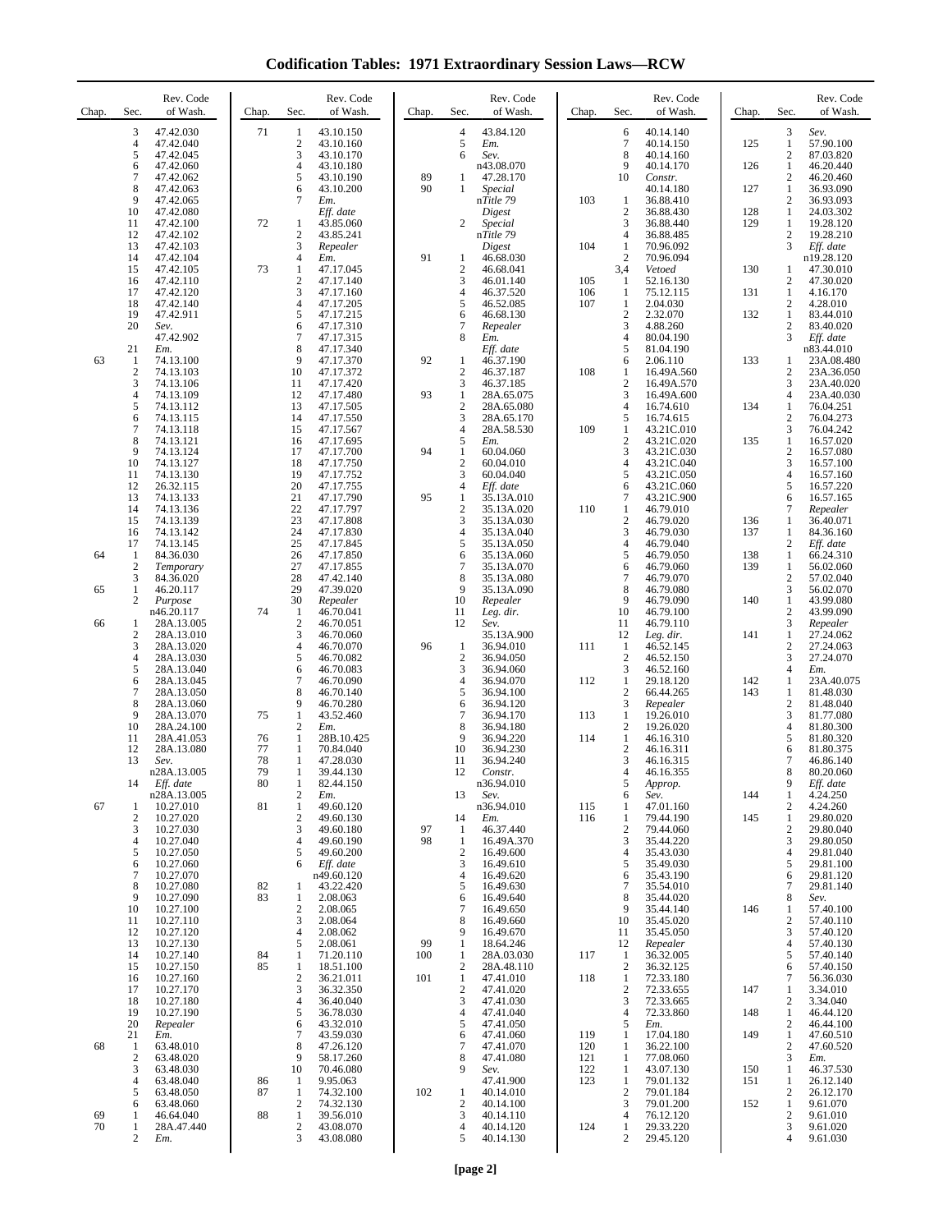**Codification Tables: 1971 Extraordinary Session Laws—RCW**

| Chap.    | Sec.                | Rev. Code<br>of Wash.    | Chap.    | Sec.                             | Rev. Code<br>of Wash.   | Chap. | Sec.                           | Rev. Code<br>of Wash.    | Chap.      | Sec.                           | Rev. Code<br>of Wash.    | Chap.      | Sec.                             | Rev. Code<br>of Wash.    |
|----------|---------------------|--------------------------|----------|----------------------------------|-------------------------|-------|--------------------------------|--------------------------|------------|--------------------------------|--------------------------|------------|----------------------------------|--------------------------|
|          | 3<br>4              | 47.42.030<br>47.42.040   | 71       | 1<br>$\boldsymbol{2}$            | 43.10.150<br>43.10.160  |       | 4<br>5                         | 43.84.120<br>Em.         |            | 6<br>$\tau$                    | 40.14.140<br>40.14.150   | 125        | 3<br>$\mathbf{1}$                | Sev.<br>57.90.100        |
|          | 5                   | 47.42.045                |          | 3                                | 43.10.170               |       | 6                              | Sev.                     |            | 8                              | 40.14.160                |            | $\mathfrak{2}$                   | 87.03.820                |
|          | 6<br>7              | 47.42.060<br>47.42.062   |          | 4<br>5                           | 43.10.180<br>43.10.190  | 89    | 1                              | n43.08.070<br>47.28.170  |            | 9<br>10                        | 40.14.170<br>Constr.     | 126        | 1<br>$\mathfrak{2}$              | 46.20.440<br>46.20.460   |
|          | 8<br>9              | 47.42.063<br>47.42.065   |          | 6<br>7                           | 43.10.200<br>Em.        | 90    | 1                              | Special<br>nTitle 79     | 103        | $\mathbf{1}$                   | 40.14.180<br>36.88.410   | 127        | $\mathbf{1}$<br>$\sqrt{2}$       | 36.93.090<br>36.93.093   |
|          | 10<br>11            | 47.42.080<br>47.42.100   | 72       |                                  | Eff. date<br>43.85.060  |       | $\overline{c}$                 | Digest                   |            | $\boldsymbol{2}$<br>3          | 36.88.430<br>36.88.440   | 128<br>129 | $\mathbf{1}$<br>1                | 24.03.302<br>19.28.120   |
|          | 12                  | 47.42.102                |          | 1<br>$\overline{c}$              | 43.85.241               |       |                                | Special<br>nTitle 79     |            | $\overline{4}$                 | 36.88.485                |            | $\mathfrak{2}$                   | 19.28.210                |
|          | 13<br>14            | 47.42.103<br>47.42.104   |          | 3<br>$\overline{4}$              | Repealer<br>Em.         | 91    | 1                              | Digest<br>46.68.030      | 104        | 1<br>$\overline{c}$            | 70.96.092<br>70.96.094   |            | 3                                | Eff. date<br>n19.28.120  |
|          | 15<br>16            | 47.42.105<br>47.42.110   | 73       | $\mathbf{1}$<br>$\boldsymbol{2}$ | 47.17.045<br>47.17.140  |       | $\boldsymbol{2}$<br>3          | 46.68.041<br>46.01.140   | 105        | 3,4<br>1                       | Vetoed<br>52.16.130      | 130        | $\mathbf{1}$<br>$\mathfrak{2}$   | 47.30.010<br>47.30.020   |
|          | 17                  | 47.42.120                |          | 3                                | 47.17.160               |       | 4                              | 46.37.520                | 106        | 1                              | 75.12.115                | 131        | 1                                | 4.16.170                 |
|          | 18<br>19            | 47.42.140<br>47.42.911   |          | $\overline{4}$<br>5              | 47.17.205<br>47.17.215  |       | 5<br>6                         | 46.52.085<br>46.68.130   | 107        | $\mathbf{1}$<br>$\overline{c}$ | 2.04.030<br>2.32.070     | 132        | $\boldsymbol{2}$<br>$\mathbf{1}$ | 4.28.010<br>83.44.010    |
|          | 20                  | Sev.<br>47.42.902        |          | 6<br>7                           | 47.17.310<br>47.17.315  |       | $\tau$<br>8                    | Repealer<br>Em.          |            | 3<br>$\overline{4}$            | 4.88.260<br>80.04.190    |            | $\boldsymbol{2}$<br>3            | 83.40.020<br>Eff. date   |
| 63       | 21                  | Em.                      |          | 8<br>9                           | 47.17.340<br>47.17.370  | 92    | 1                              | Eff. date                |            | 5<br>6                         | 81.04.190                | 133        | 1                                | n83.44.010               |
|          | -1<br>$\mathbf{2}$  | 74.13.100<br>74.13.103   |          | 10                               | 47.17.372               |       | $\overline{2}$                 | 46.37.190<br>46.37.187   | 108        | 1                              | 2.06.110<br>16.49A.560   |            | $\overline{c}$                   | 23A.08.480<br>23A.36.050 |
|          | 3<br>4              | 74.13.106<br>74.13.109   |          | 11<br>12                         | 47.17.420<br>47.17.480  | 93    | 3<br>$\mathbf{1}$              | 46.37.185<br>28A.65.075  |            | $\overline{c}$<br>3            | 16.49A.570<br>16.49A.600 |            | 3<br>4                           | 23A.40.020<br>23A.40.030 |
|          | 5<br>6              | 74.13.112<br>74.13.115   |          | 13<br>14                         | 47.17.505<br>47.17.550  |       | $\boldsymbol{2}$<br>3          | 28A.65.080<br>28A.65.170 |            | $\overline{4}$<br>5            | 16.74.610<br>16.74.615   | 134        | 1<br>$\mathfrak{2}$              | 76.04.251<br>76.04.273   |
|          | 7                   | 74.13.118                |          | 15                               | 47.17.567               |       | 4                              | 28A.58.530               | 109        | 1                              | 43.21C.010               |            | 3                                | 76.04.242                |
|          | 8<br>9              | 74.13.121<br>74.13.124   |          | 16<br>17                         | 47.17.695<br>47.17.700  | 94    | 5<br>$\mathbf{1}$              | Em.<br>60.04.060         |            | $\overline{c}$<br>3            | 43.21C.020<br>43.21C.030 | 135        | $\mathbf{1}$<br>$\sqrt{2}$       | 16.57.020<br>16.57.080   |
|          | 10<br>11            | 74.13.127<br>74.13.130   |          | 18<br>19                         | 47.17.750<br>47.17.752  |       | $\overline{2}$<br>3            | 60.04.010<br>60.04.040   |            | $\overline{4}$<br>5            | 43.21C.040<br>43.21C.050 |            | 3<br>$\overline{4}$              | 16.57.100<br>16.57.160   |
|          | 12<br>13            | 26.32.115<br>74.13.133   |          | 20<br>21                         | 47.17.755<br>47.17.790  | 95    | 4<br>$\mathbf{1}$              | Eff. date<br>35.13A.010  |            | 6<br>$\overline{7}$            | 43.21C.060<br>43.21C.900 |            | 5<br>6                           | 16.57.220<br>16.57.165   |
|          | 14                  | 74.13.136                |          | 22                               | 47.17.797               |       | $\boldsymbol{2}$               | 35.13A.020               | 110        | 1                              | 46.79.010                |            | 7                                | Repealer                 |
|          | 15<br>16            | 74.13.139<br>74.13.142   |          | 23<br>24                         | 47.17.808<br>47.17.830  |       | 3<br>$\overline{4}$            | 35.13A.030<br>35.13A.040 |            | $\overline{c}$<br>3            | 46.79.020<br>46.79.030   | 136<br>137 | 1<br>$\mathbf{1}$                | 36.40.071<br>84.36.160   |
| 64       | 17<br>$\mathbf{1}$  | 74.13.145<br>84.36.030   |          | 25<br>26                         | 47.17.845<br>47.17.850  |       | 5<br>6                         | 35.13A.050<br>35.13A.060 |            | 4<br>5                         | 46.79.040<br>46.79.050   | 138        | 2<br>$\mathbf{1}$                | Eff. date<br>66.24.310   |
|          | $\overline{2}$      | Temporary                |          | 27                               | 47.17.855               |       | 7                              | 35.13A.070               |            | 6                              | 46.79.060                | 139        | 1                                | 56.02.060                |
| 65       | 3<br>1              | 84.36.020<br>46.20.117   |          | 28<br>29                         | 47.42.140<br>47.39.020  |       | 8<br>9                         | 35.13A.080<br>35.13A.090 |            | $\overline{7}$<br>8            | 46.79.070<br>46.79.080   |            | $\sqrt{2}$<br>3                  | 57.02.040<br>56.02.070   |
|          | 2                   | Purpose<br>n46.20.117    | 74       | 30<br>1                          | Repealer<br>46.70.041   |       | 10<br>11                       | Repealer<br>Leg. dir.    |            | 9<br>10                        | 46.79.090<br>46.79.100   | 140        | $\mathbf{1}$<br>$\boldsymbol{2}$ | 43.99.080<br>43.99.090   |
| 66       | 1<br>$\overline{2}$ | 28A.13.005<br>28A.13.010 |          | $\boldsymbol{2}$<br>3            | 46.70.051<br>46.70.060  |       | 12                             | Sev.<br>35.13A.900       |            | 11<br>12                       | 46.79.110<br>Leg. dir.   | 141        | 3<br>$\mathbf{1}$                | Repealer<br>27.24.062    |
|          | 3                   | 28A.13.020               |          | $\overline{4}$                   | 46.70.070               | 96    | $\mathbf{1}$                   | 36.94.010                | 111        | 1                              | 46.52.145                |            | $\boldsymbol{2}$                 | 27.24.063                |
|          | 4<br>5              | 28A.13.030<br>28A.13.040 |          | 5<br>6                           | 46.70.082<br>46.70.083  |       | $\overline{2}$<br>3            | 36.94.050<br>36.94.060   |            | $\overline{2}$<br>3            | 46.52.150<br>46.52.160   |            | 3<br>$\overline{4}$              | 27.24.070<br>Em.         |
|          | 6<br>7              | 28A.13.045<br>28A.13.050 |          | 7<br>8                           | 46.70.090<br>46.70.140  |       | 4<br>5                         | 36.94.070<br>36.94.100   | 112        | $\mathbf{1}$<br>$\overline{c}$ | 29.18.120<br>66.44.265   | 142<br>143 | 1<br>$\mathbf{1}$                | 23A.40.075<br>81.48.030  |
|          | 8<br>9              | 28A.13.060<br>28A.13.070 | 75       | 9<br>1                           | 46.70.280<br>43.52.460  |       | 6<br>7                         | 36.94.120<br>36.94.170   | 113        | 3<br>1                         | Repealer<br>19.26.010    |            | $\mathbf{2}$<br>3                | 81.48.040<br>81.77.080   |
|          | 10                  | 28A.24.100               |          | $\overline{c}$                   | Em.                     |       | 8                              | 36.94.180                |            | $\overline{c}$                 | 19.26.020                |            | $\overline{4}$                   | 81.80.300                |
|          | 11<br>12            | 28A.41.053<br>28A.13.080 | 76<br>77 | 1<br>1                           | 28B.10.425<br>70.84.040 |       | 9<br>10                        | 36.94.220<br>36.94.230   | 114        | $\mathbf{1}$<br>$\overline{c}$ | 46.16.310<br>46.16.311   |            | 5<br>6                           | 81.80.320<br>81.80.375   |
|          | 13                  | Sev.<br>n28A.13.005      | 78<br>79 | 1<br>1                           | 47.28.030<br>39.44.130  |       | 11<br>12                       | 36.94.240<br>Constr.     |            | 3<br>4                         | 46.16.315<br>46.16.355   |            | 7<br>8                           | 46.86.140<br>80.20.060   |
|          | 14                  | Eff. date                | 80       | 1                                | 82.44.150               |       |                                | n36.94.010               |            | 5                              | Approp.                  |            | 9                                | Eff. date                |
| 67       | 1                   | n28A.13.005<br>10.27.010 | 81       | 2<br>$\mathbf{1}$                | Em.<br>49.60.120        |       | 13                             | Sev.<br>n36.94.010       | 115        | 6<br>1                         | Sev.<br>47.01.160        | 144        | $\mathbf{1}$<br>$\boldsymbol{2}$ | 4.24.250<br>4.24.260     |
|          | $\mathbf{2}$<br>3   | 10.27.020<br>10.27.030   |          | $\overline{2}$<br>3              | 49.60.130<br>49.60.180  | 97    | 14<br>1                        | Em.<br>46.37.440         | 116        | 1<br>$\overline{c}$            | 79.44.190<br>79.44.060   | 145        | 1<br>$\mathfrak{2}$              | 29.80.020<br>29.80.040   |
|          | 4<br>5              | 10.27.040<br>10.27.050   |          | 4<br>5                           | 49.60.190<br>49.60.200  | 98    | $\mathbf{1}$<br>$\overline{c}$ | 16.49A.370<br>16.49.600  |            | 3<br>4                         | 35.44.220<br>35.43.030   |            | 3<br>4                           | 29.80.050<br>29.81.040   |
|          | 6                   | 10.27.060                |          | 6                                | Eff. date               |       | 3                              | 16.49.610                |            | 5                              | 35.49.030                |            | 5                                | 29.81.100                |
|          | 7<br>8              | 10.27.070<br>10.27.080   | 82       | 1                                | n49.60.120<br>43.22.420 |       | 4<br>5                         | 16.49.620<br>16.49.630   |            | 6<br>7                         | 35.43.190<br>35.54.010   |            | 6<br>7                           | 29.81.120<br>29.81.140   |
|          | 9<br>10             | 10.27.090<br>10.27.100   | 83       | 1<br>$\boldsymbol{2}$            | 2.08.063<br>2.08.065    |       | 6<br>7                         | 16.49.640<br>16.49.650   |            | 8<br>9                         | 35.44.020<br>35.44.140   | 146        | 8<br>1                           | Sev.<br>57.40.100        |
|          | 11<br>12            | 10.27.110<br>10.27.120   |          | 3<br>$\overline{4}$              | 2.08.064<br>2.08.062    |       | 8<br>9                         | 16.49.660<br>16.49.670   |            | 10<br>11                       | 35.45.020<br>35.45.050   |            | $\mathbf{2}$<br>3                | 57.40.110<br>57.40.120   |
|          | 13                  | 10.27.130                |          | 5                                | 2.08.061                | 99    | 1                              | 18.64.246                |            | 12                             | Repealer                 |            | 4                                | 57.40.130                |
|          | 14<br>15            | 10.27.140<br>10.27.150   | 84<br>85 | 1<br>1                           | 71.20.110<br>18.51.100  | 100   | 1<br>$\boldsymbol{2}$          | 28A.03.030<br>28A.48.110 | 117        | 1<br>$\boldsymbol{2}$          | 36.32.005<br>36.32.125   |            | 5<br>6                           | 57.40.140<br>57.40.150   |
|          | 16<br>17            | 10.27.160<br>10.27.170   |          | $\boldsymbol{2}$<br>3            | 36.21.011<br>36.32.350  | 101   | $\mathbf{1}$<br>$\overline{2}$ | 47.41.010<br>47.41.020   | 118        | 1<br>$\boldsymbol{2}$          | 72.33.180<br>72.33.655   | 147        | 7<br>1                           | 56.36.030<br>3.34.010    |
|          | 18                  | 10.27.180<br>10.27.190   |          | 4<br>5                           | 36.40.040               |       | 3<br>4                         | 47.41.030<br>47.41.040   |            | 3<br>4                         | 72.33.665                | 148        | 2                                | 3.34.040                 |
|          | 19<br>20            | Repealer                 |          | 6                                | 36.78.030<br>43.32.010  |       | 5                              | 47.41.050                |            | 5                              | 72.33.860<br>Em.         |            | $\mathbf{1}$<br>$\mathfrak{2}$   | 46.44.120<br>46.44.100   |
| 68       | 21<br>-1            | Em.<br>63.48.010         |          | $\tau$<br>8                      | 43.59.030<br>47.26.120  |       | 6<br>$\overline{7}$            | 47.41.060<br>47.41.070   | 119<br>120 | $\mathbf{1}$<br>1              | 17.04.180<br>36.22.100   | 149        | $\mathbf{1}$<br>$\mathbf{2}$     | 47.60.510<br>47.60.520   |
|          | $\mathbf{2}$<br>3   | 63.48.020<br>63.48.030   |          | 9<br>10                          | 58.17.260<br>70.46.080  |       | 8<br>9                         | 47.41.080<br>Sev.        | 121<br>122 | 1<br>1                         | 77.08.060<br>43.07.130   | 150        | 3<br>$\mathbf{1}$                | Em.<br>46.37.530         |
|          | 4                   | 63.48.040                | 86       | 1                                | 9.95.063                |       |                                | 47.41.900                | 123        | 1                              | 79.01.132                | 151        | 1                                | 26.12.140                |
|          | 5<br>6              | 63.48.050<br>63.48.060   | 87       | 1<br>$\boldsymbol{2}$            | 74.32.100<br>74.32.130  | 102   | $\mathbf{1}$<br>$\overline{2}$ | 40.14.010<br>40.14.100   |            | $\overline{c}$<br>3            | 79.01.184<br>79.01.200   | 152        | $\boldsymbol{2}$<br>$\mathbf{1}$ | 26.12.170<br>9.61.070    |
| 69<br>70 | 1<br>1              | 46.64.040<br>28A.47.440  | 88       | $\mathbf{1}$<br>$\overline{c}$   | 39.56.010<br>43.08.070  |       | 3<br>4                         | 40.14.110<br>40.14.120   | 124        | 4<br>1                         | 76.12.120<br>29.33.220   |            | $\boldsymbol{2}$<br>3            | 9.61.010<br>9.61.020     |
|          | 2                   | Em.                      |          | 3                                | 43.08.080               |       | 5                              | 40.14.130                |            | $\overline{c}$                 | 29.45.120                |            | $\overline{4}$                   | 9.61.030                 |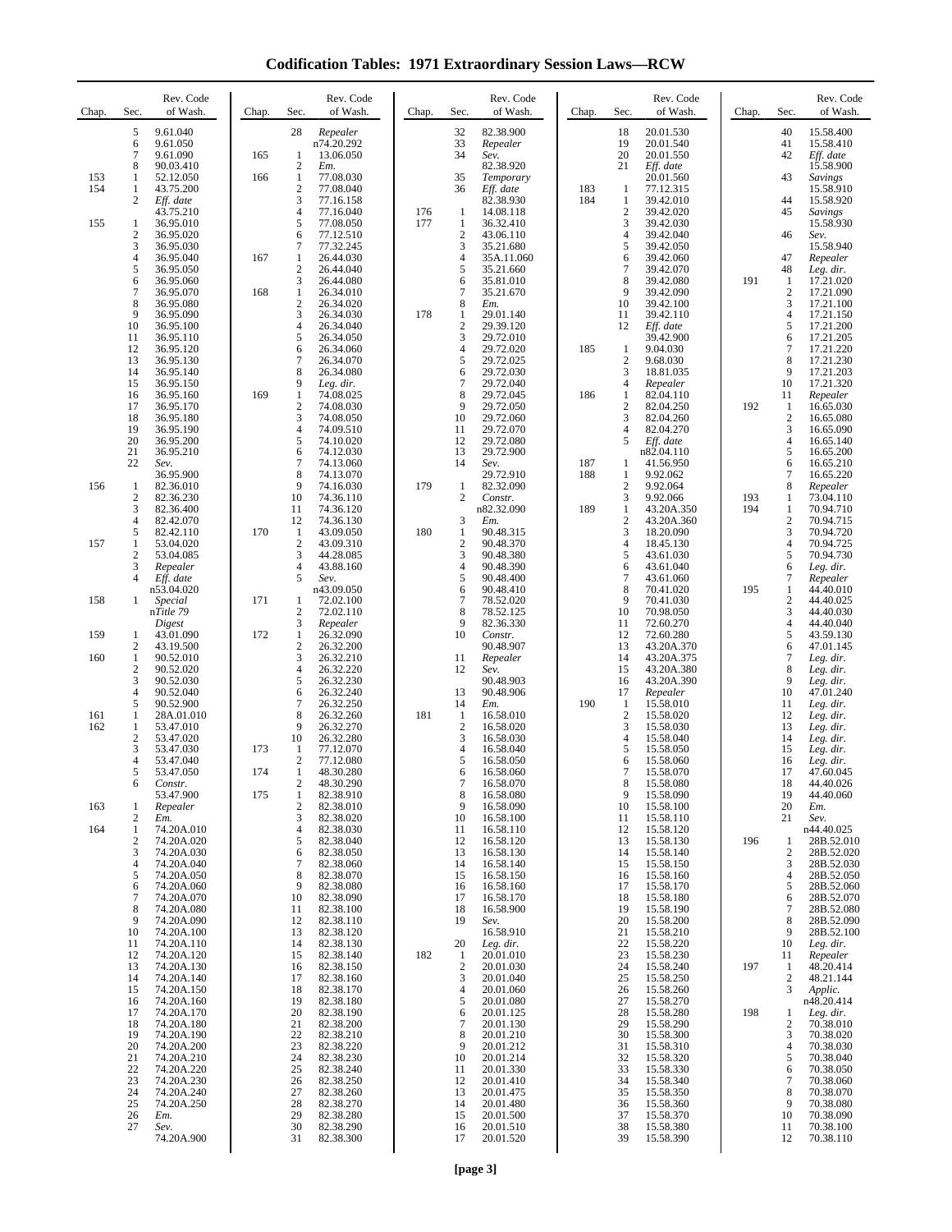**Codification Tables: 1971 Extraordinary Session Laws—RCW**

| Chap. | Sec.                | Rev. Code<br>of Wash.    | Chap. | Sec.                           | Rev. Code<br>of Wash.  | Chap.      | Sec.                | Rev. Code<br>of Wash.   | Chap.      | Sec.                           | Rev. Code<br>of Wash.    | Chap.      | Sec.                         | Rev. Code<br>of Wash.    |
|-------|---------------------|--------------------------|-------|--------------------------------|------------------------|------------|---------------------|-------------------------|------------|--------------------------------|--------------------------|------------|------------------------------|--------------------------|
|       | 5<br>6              | 9.61.040<br>9.61.050     |       | 28                             | Repealer<br>n74.20.292 |            | 32<br>33            | 82.38.900<br>Repealer   |            | 18<br>19                       | 20.01.530<br>20.01.540   |            | 40<br>41                     | 15.58.400<br>15.58.410   |
|       | $\overline{7}$      | 9.61.090                 | 165   | 1                              | 13.06.050              |            | 34                  | Sev.                    |            | 20                             | 20.01.550                |            | 42                           | Eff. date                |
| 153   | 8<br>1              | 90.03.410<br>52.12.050   | 166   | $\overline{c}$<br>$\mathbf{1}$ | Em.<br>77.08.030       |            | 35                  | 82.38.920<br>Temporary  |            | 21                             | Eff. date<br>20.01.560   |            | 43                           | 15.58.900<br>Savings     |
| 154   | 1<br>2              | 43.75.200<br>Eff. date   |       | $\overline{c}$<br>3            | 77.08.040<br>77.16.158 |            | 36                  | Eff. date<br>82.38.930  | 183<br>184 | -1<br>$\mathbf{1}$             | 77.12.315<br>39.42.010   |            | 44                           | 15.58.910<br>15.58.920   |
| 155   | $\mathbf{1}$        | 43.75.210<br>36.95.010   |       | 4<br>5                         | 77.16.040<br>77.08.050 | 176<br>177 | 1<br>1              | 14.08.118<br>36.32.410  |            | $\overline{c}$<br>3            | 39.42.020<br>39.42.030   |            | 45                           | Savings<br>15.58.930     |
|       | $\boldsymbol{2}$    | 36.95.020                |       | 6                              | 77.12.510              |            | $\overline{c}$<br>3 | 43.06.110               |            | 4                              | 39.42.040                |            | 46                           | Sev.                     |
|       | 3<br>4              | 36.95.030<br>36.95.040   | 167   | 7<br>1                         | 77.32.245<br>26.44.030 |            | $\overline{4}$      | 35.21.680<br>35A.11.060 |            | 5<br>6                         | 39.42.050<br>39.42.060   |            | 47                           | 15.58.940<br>Repealer    |
|       | 5<br>6              | 36.95.050<br>36.95.060   |       | $\overline{c}$<br>3            | 26.44.040<br>26.44.080 |            | 5<br>6              | 35.21.660<br>35.81.010  |            | 7<br>8                         | 39.42.070<br>39.42.080   | 191        | 48<br>1                      | Leg. dir.<br>17.21.020   |
|       | 7<br>8              | 36.95.070<br>36.95.080   | 168   | 1<br>2                         | 26.34.010<br>26.34.020 |            | $\overline{7}$<br>8 | 35.21.670<br>Em.        |            | 9<br>10                        | 39.42.090<br>39.42.100   |            | $\overline{2}$<br>3          | 17.21.090<br>17.21.100   |
|       | 9<br>10             | 36.95.090<br>36.95.100   |       | 3<br>$\overline{4}$            | 26.34.030<br>26.34.040 | 178        | 1<br>$\sqrt{2}$     | 29.01.140<br>29.39.120  |            | 11<br>12                       | 39.42.110<br>Eff. date   |            | 4<br>5                       | 17.21.150<br>17.21.200   |
|       | 11                  | 36.95.110                |       | 5                              | 26.34.050              |            | 3                   | 29.72.010               |            |                                | 39.42.900                |            | 6                            | 17.21.205                |
|       | 12<br>13            | 36.95.120<br>36.95.130   |       | 6<br>$\overline{7}$            | 26.34.060<br>26.34.070 |            | $\overline{4}$<br>5 | 29.72.020<br>29.72.025  | 185        | $\mathbf{1}$<br>$\overline{2}$ | 9.04.030<br>9.68.030     |            | 7<br>8                       | 17.21.220<br>17.21.230   |
|       | 14<br>15            | 36.95.140<br>36.95.150   |       | 8<br>9                         | 26.34.080<br>Leg. dir. |            | 6<br>$\overline{7}$ | 29.72.030<br>29.72.040  |            | 3<br>4                         | 18.81.035<br>Repealer    |            | 9<br>10                      | 17.21.203<br>17.21.320   |
|       | 16<br>17            | 36.95.160<br>36.95.170   | 169   | 1<br>$\overline{c}$            | 74.08.025<br>74.08.030 |            | 8<br>9              | 29.72.045<br>29.72.050  | 186        | 1<br>$\overline{c}$            | 82.04.110<br>82.04.250   | 192        | 11<br>-1                     | Repealer<br>16.65.030    |
|       | 18<br>19            | 36.95.180<br>36.95.190   |       | 3<br>$\overline{4}$            | 74.08.050<br>74.09.510 |            | 10<br>11            | 29.72.060<br>29.72.070  |            | 3<br>4                         | 82.04.260<br>82.04.270   |            | $\overline{2}$<br>3          | 16.65.080<br>16.65.090   |
|       | 20                  | 36.95.200                |       | 5                              | 74.10.020              |            | 12                  | 29.72.080               |            | 5                              | Eff. date                |            | 4                            | 16.65.140                |
|       | 21<br>22            | 36.95.210<br>Sev.        |       | 6<br>7                         | 74.12.030<br>74.13.060 |            | 13<br>14            | 29.72.900<br>Sev.       | 187        | 1                              | n82.04.110<br>41.56.950  |            | 5<br>6                       | 16.65.200<br>16.65.210   |
| 156   | 1                   | 36.95.900<br>82.36.010   |       | 8<br>9                         | 74.13.070<br>74.16.030 | 179        | 1                   | 29.72.910<br>82.32.090  | 188        | 1<br>$\overline{2}$            | 9.92.062<br>9.92.064     |            | 7<br>8                       | 16.65.220<br>Repealer    |
|       | $\overline{2}$<br>3 | 82.36.230<br>82.36.400   |       | 10<br>11                       | 74.36.110<br>74.36.120 |            | 2                   | Constr.<br>n82.32.090   | 189        | 3<br>$\mathbf{1}$              | 9.92.066<br>43.20A.350   | 193<br>194 | 1<br>1                       | 73.04.110<br>70.94.710   |
|       | 4<br>5              | 82.42.070<br>82.42.110   | 170   | 12<br>-1                       | 74.36.130<br>43.09.050 | 180        | 3<br>$\mathbf{1}$   | Em.<br>90.48.315        |            | $\overline{c}$<br>3            | 43.20A.360<br>18.20.090  |            | 2<br>3                       | 70.94.715<br>70.94.720   |
| 157   | 1<br>$\mathbf{2}$   | 53.04.020<br>53.04.085   |       | $\overline{c}$<br>3            | 43.09.310<br>44.28.085 |            | $\overline{c}$<br>3 | 90.48.370<br>90.48.380  |            | 4<br>5                         | 18.45.130                |            | 4<br>5                       | 70.94.725<br>70.94.730   |
|       | 3                   | Repealer                 |       | 4                              | 43.88.160              |            | $\overline{4}$      | 90.48.390               |            | 6                              | 43.61.030<br>43.61.040   |            | 6                            | Leg. dir.                |
|       | 4                   | Eff. date<br>n53.04.020  |       | 5                              | Sev.<br>n43.09.050     |            | 5<br>6              | 90.48.400<br>90.48.410  |            | 7<br>8                         | 43.61.060<br>70.41.020   | 195        | 7<br>1                       | Repealer<br>44.40.010    |
| 158   | 1                   | Special<br>nTitle 79     | 171   | 1<br>$\overline{c}$            | 72.02.100<br>72.02.110 |            | $\overline{7}$<br>8 | 78.52.020<br>78.52.125  |            | 9<br>10                        | 70.41.030<br>70.98.050   |            | $\overline{c}$<br>3          | 44.40.025<br>44.40.030   |
| 159   | -1                  | Digest<br>43.01.090      | 172   | 3<br>$\mathbf{1}$              | Repealer<br>26.32.090  |            | 9<br>10             | 82.36.330<br>Constr.    |            | 11<br>12                       | 72.60.270<br>72.60.280   |            | 4<br>5                       | 44.40.040<br>43.59.130   |
| 160   | 2<br>$\mathbf{1}$   | 43.19.500<br>90.52.010   |       | 2<br>3                         | 26.32.200<br>26.32.210 |            | 11                  | 90.48.907<br>Repealer   |            | 13<br>14                       | 43.20A.370<br>43.20A.375 |            | 6<br>7                       | 47.01.145<br>Leg. dir.   |
|       | $\boldsymbol{2}$    | 90.52.020                |       | 4                              | 26.32.220              |            | 12                  | Sev.                    |            | 15                             | 43.20A.380               |            | 8                            | Leg. dir.                |
|       | 3<br>$\overline{4}$ | 90.52.030<br>90.52.040   |       | 5<br>6                         | 26.32.230<br>26.32.240 |            | 13                  | 90.48.903<br>90.48.906  |            | 16<br>17                       | 43.20A.390<br>Repealer   |            | 9<br>10                      | Leg. dir.<br>47.01.240   |
| 161   | 5<br>1              | 90.52.900<br>28A.01.010  |       | 7<br>8                         | 26.32.250<br>26.32.260 | 181        | 14<br>1             | Em.<br>16.58.010        | 190        | $\mathbf{1}$<br>$\overline{2}$ | 15.58.010<br>15.58.020   |            | 11<br>12                     | Leg. dir.<br>Leg. dir.   |
| 162   | 1<br>$\mathbf{2}$   | 53.47.010<br>53.47.020   |       | 9<br>10                        | 26.32.270<br>26.32.280 |            | $\sqrt{2}$<br>3     | 16.58.020<br>16.58.030  |            | 3<br>4                         | 15.58.030<br>15.58.040   |            | 13<br>14                     | Leg. dir.<br>Leg. dir.   |
|       | 3<br>4              | 53.47.030<br>53.47.040   | 173   | 1<br>$\overline{c}$            | 77.12.070<br>77.12.080 |            | $\overline{4}$<br>5 | 16.58.040<br>16.58.050  |            | 5<br>6                         | 15.58.050<br>15.58.060   |            | 15<br>16                     | Leg. dir.<br>Leg. dir.   |
|       | 5                   | 53.47.050                | 174   | 1                              | 48.30.280              |            | 6                   | 16.58.060               |            | 7                              | 15.58.070                |            | 17                           | 47.60.045                |
|       | 6                   | Constr.<br>53.47.900     | 175   | 2<br>1                         | 48.30.290<br>82.38.910 |            | 7<br>8              | 16.58.070<br>16.58.080  |            | 8<br>9                         | 15.58.080<br>15.58.090   |            | 18<br>19                     | 44.40.026<br>44.40.060   |
| 163   | 1<br>2              | Repealer<br>Em.          |       | 2<br>3                         | 82.38.010<br>82.38.020 |            | 9<br>10             | 16.58.090<br>16.58.100  |            | 10<br>11                       | 15.58.100<br>15.58.110   |            | 20<br>21                     | Em.<br>Sev.              |
| 164   | $\mathbf{1}$<br>2   | 74.20A.010<br>74.20A.020 |       | 4<br>5                         | 82.38.030<br>82.38.040 |            | 11<br>12            | 16.58.110<br>16.58.120  |            | 12<br>13                       | 15.58.120<br>15.58.130   | 196        | 1                            | n44.40.025<br>28B.52.010 |
|       | 3<br>4              | 74.20A.030<br>74.20A.040 |       | 6<br>7                         | 82.38.050<br>82.38.060 |            | 13<br>14            | 16.58.130<br>16.58.140  |            | 14<br>15                       | 15.58.140<br>15.58.150   |            | $\overline{\mathbf{c}}$<br>3 | 28B.52.020<br>28B.52.030 |
|       | 5<br>6              | 74.20A.050<br>74.20A.060 |       | 8<br>9                         | 82.38.070<br>82.38.080 |            | 15<br>16            | 16.58.150<br>16.58.160  |            | 16<br>17                       | 15.58.160<br>15.58.170   |            | 4<br>5                       | 28B.52.050<br>28B.52.060 |
|       | 7                   | 74.20A.070               |       | 10                             | 82.38.090              |            | 17                  | 16.58.170               |            | 18                             | 15.58.180                |            | 6                            | 28B.52.070               |
|       | 8<br>9              | 74.20A.080<br>74.20A.090 |       | 11<br>12                       | 82.38.100<br>82.38.110 |            | 18<br>19            | 16.58.900<br>Sev.       |            | 19<br>20                       | 15.58.190<br>15.58.200   |            | 7<br>8                       | 28B.52.080<br>28B.52.090 |
|       | 10<br>11            | 74.20A.100<br>74.20A.110 |       | 13<br>14                       | 82.38.120<br>82.38.130 |            | 20                  | 16.58.910<br>Leg. dir.  |            | 21<br>22                       | 15.58.210<br>15.58.220   |            | 9<br>10                      | 28B.52.100<br>Leg. dir.  |
|       | 12<br>13            | 74.20A.120<br>74.20A.130 |       | 15<br>16                       | 82.38.140<br>82.38.150 | 182        | 1<br>$\overline{c}$ | 20.01.010<br>20.01.030  |            | 23<br>24                       | 15.58.230<br>15.58.240   | 197        | 11<br>1                      | Repealer<br>48.20.414    |
|       | 14<br>15            | 74.20A.140<br>74.20A.150 |       | 17<br>18                       | 82.38.160<br>82.38.170 |            | 3<br>$\overline{4}$ | 20.01.040<br>20.01.060  |            | 25<br>26                       | 15.58.250<br>15.58.260   |            | $\overline{2}$<br>3          | 48.21.144<br>Applic.     |
|       | 16                  | 74.20A.160               |       | 19                             | 82.38.180              |            | 5<br>6              | 20.01.080               |            | 27<br>28                       | 15.58.270                | 198        |                              | n48.20.414               |
|       | 17<br>18            | 74.20A.170<br>74.20A.180 |       | 20<br>21                       | 82.38.190<br>82.38.200 |            | $\overline{7}$      | 20.01.125<br>20.01.130  |            | 29                             | 15.58.280<br>15.58.290   |            | 1<br>2                       | Leg. dir.<br>70.38.010   |
|       | 19<br>20            | 74.20A.190<br>74.20A.200 |       | 22<br>23                       | 82.38.210<br>82.38.220 |            | 8<br>9              | 20.01.210<br>20.01.212  |            | 30<br>31                       | 15.58.300<br>15.58.310   |            | 3<br>4                       | 70.38.020<br>70.38.030   |
|       | 21<br>22            | 74.20A.210<br>74.20A.220 |       | 24<br>25                       | 82.38.230<br>82.38.240 |            | 10<br>11            | 20.01.214<br>20.01.330  |            | 32<br>33                       | 15.58.320<br>15.58.330   |            | 5<br>6                       | 70.38.040<br>70.38.050   |
|       | 23<br>24            | 74.20A.230<br>74.20A.240 |       | 26<br>27                       | 82.38.250<br>82.38.260 |            | 12<br>13            | 20.01.410<br>20.01.475  |            | 34<br>35                       | 15.58.340<br>15.58.350   |            | 7<br>8                       | 70.38.060<br>70.38.070   |
|       | 25<br>26            | 74.20A.250<br>Em.        |       | 28<br>29                       | 82.38.270<br>82.38.280 |            | 14<br>15            | 20.01.480<br>20.01.500  |            | 36<br>37                       | 15.58.360<br>15.58.370   |            | 9<br>10                      | 70.38.080<br>70.38.090   |
|       | 27                  | Sev.                     |       | 30                             | 82.38.290              |            | 16                  | 20.01.510               |            | 38                             | 15.58.380                |            | 11                           | 70.38.100                |
|       |                     | 74.20A.900               |       | 31                             | 82.38.300              |            | 17                  | 20.01.520               |            | 39                             | 15.58.390                |            | 12                           | 70.38.110                |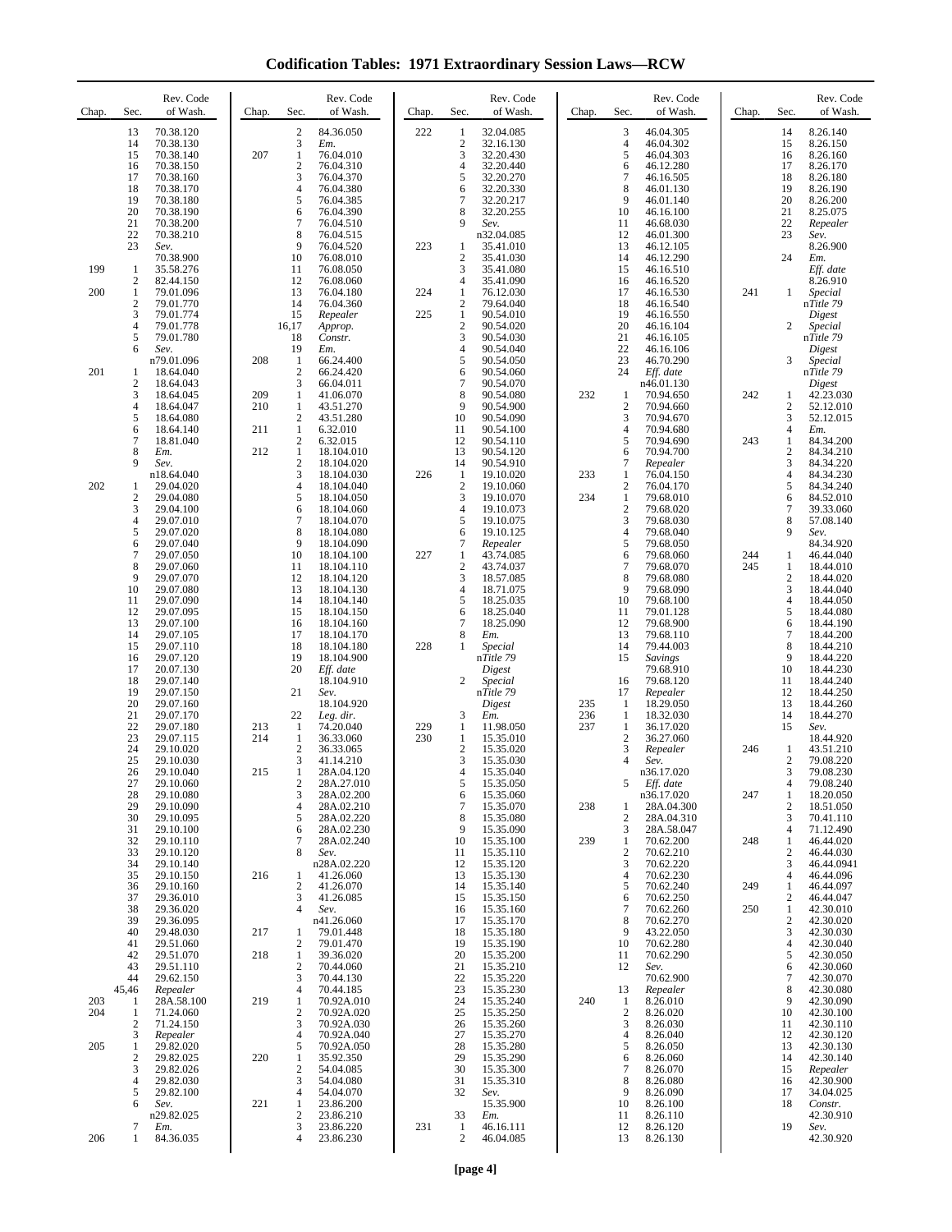**Codification Tables: 1971 Extraordinary Session Laws—RCW**

| Chap.      | Sec.                                                  | Rev. Code<br>of Wash.                                                                                | Chap.                    | Sec.                                                                              | Rev. Code<br>of Wash.                                                                                        | Chap.      | Sec.                                                                              | Rev. Code<br>of Wash.                                                                               | Chap.             | Sec.                                           | Rev. Code<br>of Wash.                                                                                | Chap.      | Sec.                                                                                | Rev. Code<br>of Wash.                                                                                |
|------------|-------------------------------------------------------|------------------------------------------------------------------------------------------------------|--------------------------|-----------------------------------------------------------------------------------|--------------------------------------------------------------------------------------------------------------|------------|-----------------------------------------------------------------------------------|-----------------------------------------------------------------------------------------------------|-------------------|------------------------------------------------|------------------------------------------------------------------------------------------------------|------------|-------------------------------------------------------------------------------------|------------------------------------------------------------------------------------------------------|
|            | 13<br>14<br>15<br>16<br>17<br>18<br>19                | 70.38.120<br>70.38.130<br>70.38.140<br>70.38.150<br>70.38.160<br>70.38.170<br>70.38.180              | 207                      | $\mathfrak{2}$<br>3<br>1<br>$\overline{\mathbf{c}}$<br>3<br>4<br>5                | 84.36.050<br>Em.<br>76.04.010<br>76.04.310<br>76.04.370<br>76.04.380<br>76.04.385                            | 222        | 1<br>$\overline{2}$<br>3<br>$\overline{4}$<br>5<br>6<br>$\overline{7}$            | 32.04.085<br>32.16.130<br>32.20.430<br>32.20.440<br>32.20.270<br>32.20.330<br>32.20.217             |                   | 3<br>4<br>5<br>6<br>7<br>8<br>9                | 46.04.305<br>46.04.302<br>46.04.303<br>46.12.280<br>46.16.505<br>46.01.130<br>46.01.140              |            | 14<br>15<br>16<br>17<br>18<br>19<br>20                                              | 8.26.140<br>8.26.150<br>8.26.160<br>8.26.170<br>8.26.180<br>8.26.190<br>8.26.200                     |
| 199        | 20<br>21<br>22<br>23<br>$\mathbf{1}$                  | 70.38.190<br>70.38.200<br>70.38.210<br>Sev.<br>70.38.900<br>35.58.276                                |                          | 6<br>7<br>8<br>9<br>10<br>11                                                      | 76.04.390<br>76.04.510<br>76.04.515<br>76.04.520<br>76.08.010<br>76.08.050                                   | 223        | 8<br>9<br>1<br>$\overline{2}$<br>3                                                | 32.20.255<br>Sev.<br>n32.04.085<br>35.41.010<br>35.41.030<br>35.41.080                              |                   | 10<br>11<br>12<br>13<br>14<br>15               | 46.16.100<br>46.68.030<br>46.01.300<br>46.12.105<br>46.12.290<br>46.16.510                           |            | 21<br>22<br>23<br>24                                                                | 8.25.075<br>Repealer<br>Sev.<br>8.26.900<br>Em.<br>Eff. date                                         |
| 200        | $\mathbf{2}$<br>1<br>$\mathbf{2}$<br>3<br>4<br>5<br>6 | 82.44.150<br>79.01.096<br>79.01.770<br>79.01.774<br>79.01.778<br>79.01.780<br>Sev.                   |                          | 12<br>13<br>14<br>15<br>16,17<br>18<br>19                                         | 76.08.060<br>76.04.180<br>76.04.360<br>Repealer<br>Approp.<br>Constr.<br>Em.                                 | 224<br>225 | 4<br>1<br>$\mathfrak{2}$<br>$\mathbf{1}$<br>$\overline{c}$<br>3<br>$\overline{4}$ | 35.41.090<br>76.12.030<br>79.64.040<br>90.54.010<br>90.54.020<br>90.54.030<br>90.54.040             |                   | 16<br>17<br>18<br>19<br>20<br>21<br>22         | 46.16.520<br>46.16.530<br>46.16.540<br>46.16.550<br>46.16.104<br>46.16.105<br>46.16.106              | 241        | 1<br>$\overline{c}$                                                                 | 8.26.910<br>Special<br>nTitle 79<br>Digest<br>Special<br>nTitle 79<br>Digest                         |
| 201        | 1<br>$\mathbf{2}$<br>3<br>4<br>5<br>6                 | n79.01.096<br>18.64.040<br>18.64.043<br>18.64.045<br>18.64.047<br>18.64.080<br>18.64.140             | 208<br>209<br>210<br>211 | 1<br>$\boldsymbol{2}$<br>3<br>1<br>$\mathbf{1}$<br>$\overline{c}$<br>$\mathbf{1}$ | 66.24.400<br>66.24.420<br>66.04.011<br>41.06.070<br>43.51.270<br>43.51.280<br>6.32.010                       |            | 5<br>6<br>$\overline{7}$<br>8<br>9<br>10<br>11                                    | 90.54.050<br>90.54.060<br>90.54.070<br>90.54.080<br>90.54.900<br>90.54.090<br>90.54.100             | 232               | 23<br>24<br>-1<br>$\overline{2}$<br>3<br>4     | 46.70.290<br>Eff. date<br>n46.01.130<br>70.94.650<br>70.94.660<br>70.94.670<br>70.94.680             | 242        | 3<br>1<br>$\overline{c}$<br>3<br>$\overline{4}$                                     | Special<br>nTitle 79<br>Digest<br>42.23.030<br>52.12.010<br>52.12.015<br>Em.                         |
| 202        | 7<br>8<br>9<br>1<br>2<br>3                            | 18.81.040<br>Em.<br>Sev.<br>n18.64.040<br>29.04.020<br>29.04.080<br>29.04.100                        | 212                      | $\mathfrak{2}$<br>$\mathbf{1}$<br>2<br>3<br>$\overline{4}$<br>5<br>6              | 6.32.015<br>18.104.010<br>18.104.020<br>18.104.030<br>18.104.040<br>18.104.050<br>18.104.060                 | 226        | 12<br>13<br>14<br>1<br>$\overline{2}$<br>3<br>$\overline{4}$                      | 90.54.110<br>90.54.120<br>90.54.910<br>19.10.020<br>19.10.060<br>19.10.070<br>19.10.073             | 233<br>234        | 5<br>6<br>7<br>1<br>2<br>1<br>$\overline{2}$   | 70.94.690<br>70.94.700<br>Repealer<br>76.04.150<br>76.04.170<br>79.68.010<br>79.68.020               | 243        | $\mathbf{1}$<br>$\overline{c}$<br>3<br>$\overline{4}$<br>5<br>6<br>$\tau$           | 84.34.200<br>84.34.210<br>84.34.220<br>84.34.230<br>84.34.240<br>84.52.010<br>39.33.060              |
|            | 4<br>5<br>6<br>7<br>8<br>9<br>10<br>11                | 29.07.010<br>29.07.020<br>29.07.040<br>29.07.050<br>29.07.060<br>29.07.070<br>29.07.080<br>29.07.090 |                          | $\overline{7}$<br>8<br>9<br>10<br>11<br>12<br>13<br>14                            | 18.104.070<br>18.104.080<br>18.104.090<br>18.104.100<br>18.104.110<br>18.104.120<br>18.104.130<br>18.104.140 | 227        | 5<br>6<br>$\tau$<br>1<br>$\mathfrak{2}$<br>3<br>$\overline{4}$<br>5               | 19.10.075<br>19.10.125<br>Repealer<br>43.74.085<br>43.74.037<br>18.57.085<br>18.71.075<br>18.25.035 |                   | 3<br>4<br>5<br>6<br>7<br>8<br>9<br>10          | 79.68.030<br>79.68.040<br>79.68.050<br>79.68.060<br>79.68.070<br>79.68.080<br>79.68.090<br>79.68.100 | 244<br>245 | 8<br>9<br>1<br>1<br>$\overline{c}$<br>3<br>4                                        | 57.08.140<br>Sev.<br>84.34.920<br>46.44.040<br>18.44.010<br>18.44.020<br>18.44.040<br>18.44.050      |
|            | 12<br>13<br>14<br>15<br>16<br>17<br>18<br>19          | 29.07.095<br>29.07.100<br>29.07.105<br>29.07.110<br>29.07.120<br>20.07.130<br>29.07.140<br>29.07.150 |                          | 15<br>16<br>17<br>18<br>19<br>20<br>21                                            | 18.104.150<br>18.104.160<br>18.104.170<br>18.104.180<br>18.104.900<br>Eff. date<br>18.104.910<br>Sev.        | 228        | 6<br>$\tau$<br>8<br>1<br>2                                                        | 18.25.040<br>18.25.090<br>Em.<br>Special<br>nTitle 79<br>Digest<br>Special<br>nTitle 79             |                   | 11<br>12<br>13<br>14<br>15<br>16<br>17         | 79.01.128<br>79.68.900<br>79.68.110<br>79.44.003<br>Savings<br>79.68.910<br>79.68.120<br>Repealer    |            | 5<br>6<br>$\overline{7}$<br>8<br>9<br>10<br>11<br>12                                | 18.44.080<br>18.44.190<br>18.44.200<br>18.44.210<br>18.44.220<br>18.44.230<br>18.44.240<br>18.44.250 |
|            | 20<br>21<br>22<br>23<br>24<br>25<br>26                | 29.07.160<br>29.07.170<br>29.07.180<br>29.07.115<br>29.10.020<br>29.10.030<br>29.10.040              | 213<br>214<br>215        | 22<br>1<br>1<br>$\mathfrak{2}$<br>3<br>1                                          | 18.104.920<br>Leg. dir.<br>74.20.040<br>36.33.060<br>36.33.065<br>41.14.210<br>28A.04.120                    | 229<br>230 | 3<br>1<br>1<br>$\boldsymbol{2}$<br>3<br>$\overline{4}$                            | Digest<br>Em.<br>11.98.050<br>15.35.010<br>15.35.020<br>15.35.030<br>15.35.040                      | 235<br>236<br>237 | -1<br>-1<br>1<br>$\mathbf{2}$<br>3<br>4        | 18.29.050<br>18.32.030<br>36.17.020<br>36.27.060<br>Repealer<br>Sev.<br>n36.17.020                   | 246        | 13<br>14<br>15<br>1<br>$\overline{2}$<br>3                                          | 18.44.260<br>18.44.270<br>Sev.<br>18.44.920<br>43.51.210<br>79.08.220<br>79.08.230                   |
|            | 27<br>28<br>29<br>30<br>31<br>32<br>33                | 29.10.060<br>29.10.080<br>29.10.090<br>29.10.095<br>29.10.100<br>29.10.110<br>29.10.120              |                          | $\overline{c}$<br>3<br>4<br>5<br>6<br>7<br>8                                      | 28A.27.010<br>28A.02.200<br>28A.02.210<br>28A.02.220<br>28A.02.230<br>28A.02.240<br>Sev.                     |            | 5<br>6<br>$\tau$<br>8<br>9<br>10<br>11                                            | 15.35.050<br>15.35.060<br>15.35.070<br>15.35.080<br>15.35.090<br>15.35.100<br>15.35.110             | 238<br>239        | 5<br>1<br>$\overline{c}$<br>3<br>1<br>2        | Eff. date<br>n36.17.020<br>28A.04.300<br>28A.04.310<br>28A.58.047<br>70.62.200<br>70.62.210          | 247<br>248 | 4<br>1<br>$\overline{c}$<br>3<br>$\overline{4}$<br>$\mathbf{1}$<br>$\boldsymbol{2}$ | 79.08.240<br>18.20.050<br>18.51.050<br>70.41.110<br>71.12.490<br>46.44.020<br>46.44.030              |
|            | 34<br>35<br>36<br>37<br>38<br>39<br>40                | 29.10.140<br>29.10.150<br>29.10.160<br>29.36.010<br>29.36.020<br>29.36.095<br>29.48.030              | 216<br>217               | 1<br>$\mathfrak{2}$<br>3<br>4<br>1                                                | n28A.02.220<br>41.26.060<br>41.26.070<br>41.26.085<br>Sev.<br>n41.26.060<br>79.01.448                        |            | 12<br>13<br>14<br>15<br>16<br>17<br>18                                            | 15.35.120<br>15.35.130<br>15.35.140<br>15.35.150<br>15.35.160<br>15.35.170<br>15.35.180             |                   | 3<br>4<br>5<br>6<br>7<br>8<br>9                | 70.62.220<br>70.62.230<br>70.62.240<br>70.62.250<br>70.62.260<br>70.62.270<br>43.22.050              | 249<br>250 | 3<br>4<br>$\mathbf{1}$<br>$\overline{c}$<br>$\mathbf{1}$<br>$\overline{c}$<br>3     | 46.44.0941<br>46.44.096<br>46.44.097<br>46.44.047<br>42.30.010<br>42.30.020<br>42.30.030             |
| 203        | 41<br>42<br>43<br>44<br>45,46<br>1                    | 29.51.060<br>29.51.070<br>29.51.110<br>29.62.150<br>Repealer<br>28A.58.100                           | 218<br>219               | $\mathfrak{2}$<br>$\mathbf{1}$<br>$\overline{c}$<br>3<br>4<br>1                   | 79.01.470<br>39.36.020<br>70.44.060<br>70.44.130<br>70.44.185<br>70.92A.010                                  |            | 19<br>20<br>21<br>22<br>23<br>24                                                  | 15.35.190<br>15.35.200<br>15.35.210<br>15.35.220<br>15.35.230<br>15.35.240                          | 240               | 10<br>11<br>12<br>13<br>-1                     | 70.62.280<br>70.62.290<br>Sev.<br>70.62.900<br>Repealer<br>8.26.010                                  |            | 4<br>5<br>6<br>7<br>8<br>9                                                          | 42.30.040<br>42.30.050<br>42.30.060<br>42.30.070<br>42.30.080<br>42.30.090                           |
| 204<br>205 | 1<br>2<br>3<br>1<br>2<br>3<br>4                       | 71.24.060<br>71.24.150<br>Repealer<br>29.82.020<br>29.82.025<br>29.82.026<br>29.82.030               | 220                      | $\boldsymbol{2}$<br>3<br>4<br>5<br>1<br>$\overline{\mathbf{c}}$<br>3              | 70.92A.020<br>70.92A.030<br>70.92A.040<br>70.92A.050<br>35.92.350<br>54.04.085<br>54.04.080                  |            | 25<br>26<br>27<br>28<br>29<br>30<br>31                                            | 15.35.250<br>15.35.260<br>15.35.270<br>15.35.280<br>15.35.290<br>15.35.300<br>15.35.310             |                   | $\boldsymbol{2}$<br>3<br>4<br>5<br>6<br>7<br>8 | 8.26.020<br>8.26.030<br>8.26.040<br>8.26.050<br>8.26.060<br>8.26.070<br>8.26.080                     |            | 10<br>11<br>12<br>13<br>14<br>15<br>16                                              | 42.30.100<br>42.30.110<br>42.30.120<br>42.30.130<br>42.30.140<br>Repealer<br>42.30.900               |
| 206        | 5<br>6<br>7<br>1                                      | 29.82.100<br>Sev.<br>n29.82.025<br>Em.<br>84.36.035                                                  | 221                      | 4<br>1<br>$\boldsymbol{2}$<br>3<br>4                                              | 54.04.070<br>23.86.200<br>23.86.210<br>23.86.220<br>23.86.230                                                | 231        | 32<br>33<br>1<br>$\mathfrak{2}$                                                   | Sev.<br>15.35.900<br>Em.<br>46.16.111<br>46.04.085                                                  |                   | 9<br>10<br>11<br>12<br>13                      | 8.26.090<br>8.26.100<br>8.26.110<br>8.26.120<br>8.26.130                                             |            | 17<br>18<br>19                                                                      | 34.04.025<br>Constr.<br>42.30.910<br>Sev.<br>42.30.920                                               |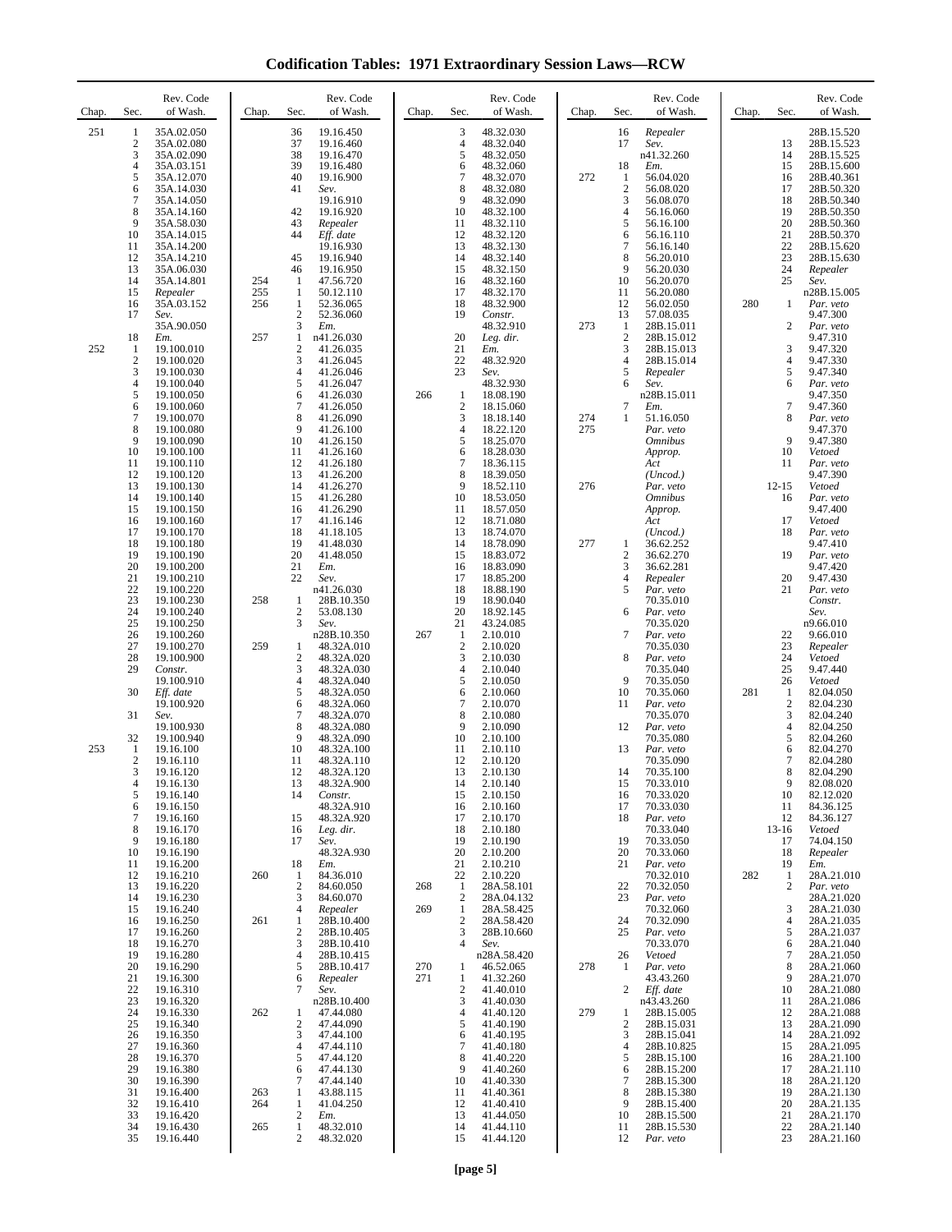**Codification Tables: 1971 Extraordinary Session Laws—RCW**

| Chap. | Sec.                                                                                         | Rev. Code<br>of Wash.                                                                                                                                               | Chap.                    | Rev. Code<br>of Wash.<br>Sec.                                                                                                                                                                                                                | Chap.      | Sec.                                                                     | Rev. Code<br>of Wash.                                                                                                                                    | Chap.      | Sec.                                                                                  | Rev. Code<br>of Wash.                                                                                                                                                 | Chap. | Sec.                                                                                                       | Rev. Code<br>of Wash.                                                                                                                                              |
|-------|----------------------------------------------------------------------------------------------|---------------------------------------------------------------------------------------------------------------------------------------------------------------------|--------------------------|----------------------------------------------------------------------------------------------------------------------------------------------------------------------------------------------------------------------------------------------|------------|--------------------------------------------------------------------------|----------------------------------------------------------------------------------------------------------------------------------------------------------|------------|---------------------------------------------------------------------------------------|-----------------------------------------------------------------------------------------------------------------------------------------------------------------------|-------|------------------------------------------------------------------------------------------------------------|--------------------------------------------------------------------------------------------------------------------------------------------------------------------|
| 251   | 1<br>$\boldsymbol{2}$<br>3<br>$\overline{4}$<br>5<br>6<br>$\tau$<br>8<br>9<br>10<br>11       | 35A.02.050<br>35A.02.080<br>35A.02.090<br>35A.03.151<br>35A.12.070<br>35A.14.030<br>35A.14.050<br>35A.14.160<br>35A.58.030<br>35A.14.015<br>35A.14.200              |                          | 36<br>19.16.450<br>37<br>19.16.460<br>38<br>19.16.470<br>39<br>19.16.480<br>40<br>19.16.900<br>41<br>Sev.<br>19.16.910<br>42<br>19.16.920<br>43<br>Repealer<br>44<br>Eff. date<br>19.16.930                                                  |            | 3<br>4<br>5<br>6<br>$\overline{7}$<br>8<br>9<br>10<br>11<br>12<br>13     | 48.32.030<br>48.32.040<br>48.32.050<br>48.32.060<br>48.32.070<br>48.32.080<br>48.32.090<br>48.32.100<br>48.32.110<br>48.32.120<br>48.32.130              | 272        | 16<br>17<br>18<br>-1<br>$\sqrt{2}$<br>3<br>$\overline{4}$<br>5<br>6<br>$\overline{7}$ | Repealer<br>Sev.<br>n41.32.260<br>Em.<br>56.04.020<br>56.08.020<br>56.08.070<br>56.16.060<br>56.16.100<br>56.16.110<br>56.16.140                                      |       | 13<br>14<br>15<br>16<br>17<br>18<br>19<br>20<br>21<br>22                                                   | 28B.15.520<br>28B.15.523<br>28B.15.525<br>28B.15.600<br>28B.40.361<br>28B.50.320<br>28B.50.340<br>28B.50.350<br>28B.50.360<br>28B.50.370<br>28B.15.620             |
| 252   | 12<br>13<br>14<br>15<br>16<br>17<br>18<br>1<br>$\overline{2}$                                | 35A.14.210<br>35A.06.030<br>35A.14.801<br>Repealer<br>35A.03.152<br>Sev.<br>35A.90.050<br>Em.<br>19.100.010<br>19.100.020                                           | 254<br>255<br>256<br>257 | 45<br>19.16.940<br>46<br>19.16.950<br>1<br>47.56.720<br>1<br>50.12.110<br>$\mathbf{1}$<br>52.36.065<br>$\overline{\mathbf{c}}$<br>52.36.060<br>3<br>Em.<br>$\mathbf{1}$<br>n41.26.030<br>2<br>41.26.035<br>3<br>41.26.045                    |            | 14<br>15<br>16<br>17<br>18<br>19<br>20<br>21<br>22                       | 48.32.140<br>48.32.150<br>48.32.160<br>48.32.170<br>48.32.900<br>Constr.<br>48.32.910<br>Leg. dir.<br>Em.<br>48.32.920                                   | 273        | 8<br>9<br>10<br>11<br>12<br>13<br>1<br>$\sqrt{2}$<br>3<br>$\overline{4}$              | 56.20.010<br>56.20.030<br>56.20.070<br>56.20.080<br>56.02.050<br>57.08.035<br>28B.15.011<br>28B.15.012<br>28B.15.013<br>28B.15.014                                    | 280   | 23<br>24<br>25<br>1<br>2<br>3<br>$\overline{4}$                                                            | 28B.15.630<br>Repealer<br>Sev.<br>n28B.15.005<br>Par. veto<br>9.47.300<br>Par. veto<br>9.47.310<br>9.47.320<br>9.47.330                                            |
|       | 3<br>$\overline{4}$<br>5<br>6<br>$\overline{7}$<br>8<br>9<br>10<br>11                        | 19.100.030<br>19.100.040<br>19.100.050<br>19.100.060<br>19.100.070<br>19.100.080<br>19.100.090<br>19.100.100<br>19.100.110                                          |                          | $\overline{4}$<br>41.26.046<br>5<br>41.26.047<br>6<br>41.26.030<br>7<br>41.26.050<br>8<br>41.26.090<br>9<br>41.26.100<br>10<br>41.26.150<br>11<br>41.26.160<br>12<br>41.26.180                                                               | 266        | 23<br>$\mathbf{1}$<br>$\boldsymbol{2}$<br>3<br>4<br>5<br>6<br>7          | Sev.<br>48.32.930<br>18.08.190<br>18.15.060<br>18.18.140<br>18.22.120<br>18.25.070<br>18.28.030<br>18.36.115                                             | 274<br>275 | 5<br>6<br>$\overline{7}$<br>1                                                         | Repealer<br>Sev.<br>n28B.15.011<br>Em.<br>51.16.050<br>Par. veto<br><i><b>Omnibus</b></i><br>Approp.<br>Act                                                           |       | 5<br>6<br>$\tau$<br>8<br>9<br>10<br>11                                                                     | 9.47.340<br>Par. veto<br>9.47.350<br>9.47.360<br>Par. veto<br>9.47.370<br>9.47.380<br>Vetoed<br>Par. veto                                                          |
|       | 12<br>13<br>14<br>15<br>16<br>17<br>18<br>19<br>20<br>21<br>22                               | 19.100.120<br>19.100.130<br>19.100.140<br>19.100.150<br>19.100.160<br>19.100.170<br>19.100.180<br>19.100.190<br>19.100.200<br>19.100.210<br>19.100.220              |                          | 13<br>41.26.200<br>14<br>41.26.270<br>15<br>41.26.280<br>16<br>41.26.290<br>17<br>41.16.146<br>18<br>41.18.105<br>19<br>41.48.030<br>20<br>41.48.050<br>21<br>Em.<br>22<br>Sev.<br>n41.26.030                                                |            | 8<br>9<br>10<br>11<br>12<br>13<br>14<br>15<br>16<br>17<br>18             | 18.39.050<br>18.52.110<br>18.53.050<br>18.57.050<br>18.71.080<br>18.74.070<br>18.78.090<br>18.83.072<br>18.83.090<br>18.85.200<br>18.88.190              | 276<br>277 | 1<br>$\overline{2}$<br>3<br>$\overline{4}$<br>5                                       | (Uncod.)<br>Par. veto<br><i><b>Omnibus</b></i><br>Approp.<br>Act<br>(Uncod.)<br>36.62.252<br>36.62.270<br>36.62.281<br>Repealer<br>Par. veto                          |       | $12 - 15$<br>16<br>17<br>18<br>19<br>20<br>21                                                              | 9.47.390<br>Vetoed<br>Par. veto<br>9.47.400<br>Vetoed<br>Par. veto<br>9.47.410<br>Par. veto<br>9.47.420<br>9.47.430<br>Par. veto                                   |
|       | 23<br>24<br>25<br>26<br>27<br>28<br>29<br>30                                                 | 19.100.230<br>19.100.240<br>19.100.250<br>19.100.260<br>19.100.270<br>19.100.900<br>Constr.<br>19.100.910<br>Eff. date                                              | 258<br>259               | 1<br>28B.10.350<br>$\boldsymbol{2}$<br>53.08.130<br>3<br>Sev.<br>n28B.10.350<br>1<br>48.32A.010<br>$\overline{c}$<br>48.32A.020<br>3<br>48.32A.030<br>4<br>48.32A.040<br>5<br>48.32A.050                                                     | 267        | 19<br>20<br>21<br>-1<br>$\overline{2}$<br>3<br>$\overline{4}$<br>5<br>6  | 18.90.040<br>18.92.145<br>43.24.085<br>2.10.010<br>2.10.020<br>2.10.030<br>2.10.040<br>2.10.050<br>2.10.060                                              |            | 6<br>$\tau$<br>8<br>9<br>10                                                           | 70.35.010<br>Par. veto<br>70.35.020<br>Par. veto<br>70.35.030<br>Par. veto<br>70.35.040<br>70.35.050<br>70.35.060                                                     | 281   | 22<br>23<br>24<br>25<br>26<br>1                                                                            | Constr.<br>Sev.<br>n9.66.010<br>9.66.010<br>Repealer<br>Vetoed<br>9.47.440<br>Vetoed<br>82.04.050                                                                  |
| 253   | 31<br>32<br>1<br>$\overline{c}$<br>3<br>$\overline{4}$<br>5<br>6<br>$\overline{7}$<br>8<br>9 | 19.100.920<br>Sev.<br>19.100.930<br>19.100.940<br>19.16.100<br>19.16.110<br>19.16.120<br>19.16.130<br>19.16.140<br>19.16.150<br>19.16.160<br>19.16.170<br>19.16.180 |                          | 6<br>48.32A.060<br>7<br>48.32A.070<br>8<br>48.32A.080<br>9<br>48.32A.090<br>10<br>48.32A.100<br>11<br>48.32A.110<br>12<br>48.32A.120<br>13<br>48.32A.900<br>14<br>Constr.<br>48.32A.910<br>48.32A.920<br>15<br>16<br>Leg. dir.<br>17<br>Sev. |            | 7<br>8<br>9<br>10<br>11<br>12<br>13<br>14<br>15<br>16<br>17<br>18<br>19  | 2.10.070<br>2.10.080<br>2.10.090<br>2.10.100<br>2.10.110<br>2.10.120<br>2.10.130<br>2.10.140<br>2.10.150<br>2.10.160<br>2.10.170<br>2.10.180<br>2.10.190 |            | 11<br>12<br>13<br>14<br>15<br>16<br>17<br>18<br>19                                    | Par. veto<br>70.35.070<br>Par. veto<br>70.35.080<br>Par. veto<br>70.35.090<br>70.35.100<br>70.33.010<br>70.33.020<br>70.33.030<br>Par. veto<br>70.33.040<br>70.33.050 |       | $\overline{\mathbf{c}}$<br>3<br>$\overline{4}$<br>5<br>6<br>7<br>8<br>9<br>10<br>11<br>12<br>$13-16$<br>17 | 82.04.230<br>82.04.240<br>82.04.250<br>82.04.260<br>82.04.270<br>82.04.280<br>82.04.290<br>82.08.020<br>82.12.020<br>84.36.125<br>84.36.127<br>Vetoed<br>74.04.150 |
|       | 10<br>11<br>12<br>13<br>14<br>15<br>16                                                       | 19.16.190<br>19.16.200<br>19.16.210<br>19.16.220<br>19.16.230<br>19.16.240<br>19.16.250                                                                             | 260<br>261               | 48.32A.930<br>18<br>Em.<br>84.36.010<br>1<br>$\overline{2}$<br>84.60.050<br>3<br>84.60.070<br>4<br>Repealer<br>1<br>28B.10.400                                                                                                               | 268<br>269 | 20<br>21<br>22<br>-1<br>$\overline{2}$<br>$\mathbf{1}$<br>$\overline{2}$ | 2.10.200<br>2.10.210<br>2.10.220<br>28A.58.101<br>28A.04.132<br>28A.58.425<br>28A.58.420                                                                 |            | 20<br>21<br>22<br>23<br>24                                                            | 70.33.060<br>Par. veto<br>70.32.010<br>70.32.050<br>Par. veto<br>70.32.060<br>70.32.090                                                                               | 282   | 18<br>19<br>1<br>$\overline{c}$<br>3<br>4                                                                  | Repealer<br>Em.<br>28A.21.010<br>Par. veto<br>28A.21.020<br>28A.21.030<br>28A.21.035                                                                               |
|       | 17<br>18<br>19<br>20<br>21<br>22<br>23<br>24                                                 | 19.16.260<br>19.16.270<br>19.16.280<br>19.16.290<br>19.16.300<br>19.16.310<br>19.16.320<br>19.16.330                                                                | 262                      | 2<br>28B.10.405<br>3<br>28B.10.410<br>4<br>28B.10.415<br>5<br>28B.10.417<br>6<br>Repealer<br>7<br>Sev.<br>n28B.10.400<br>47.44.080<br>1                                                                                                      | 270<br>271 | 3<br>4<br>1<br>1<br>$\sqrt{2}$<br>3<br>4                                 | 28B.10.660<br>Sev.<br>n28A.58.420<br>46.52.065<br>41.32.260<br>41.40.010<br>41.40.030<br>41.40.120                                                       | 278<br>279 | 25<br>26<br>-1<br>2<br>1                                                              | Par. veto<br>70.33.070<br>Vetoed<br>Par. veto<br>43.43.260<br>Eff. date<br>n43.43.260<br>28B.15.005                                                                   |       | 5<br>6<br>7<br>8<br>9<br>10<br>11<br>12                                                                    | 28A.21.037<br>28A.21.040<br>28A.21.050<br>28A.21.060<br>28A.21.070<br>28A.21.080<br>28A.21.086<br>28A.21.088                                                       |
|       | 25<br>26<br>27<br>28<br>29<br>30<br>31<br>32                                                 | 19.16.340<br>19.16.350<br>19.16.360<br>19.16.370<br>19.16.380<br>19.16.390<br>19.16.400<br>19.16.410                                                                | 263<br>264               | 2<br>47.44.090<br>3<br>47.44.100<br>$\overline{4}$<br>47.44.110<br>5<br>47.44.120<br>47.44.130<br>6<br>7<br>47.44.140<br>$\mathbf{1}$<br>43.88.115<br>$\mathbf{1}$<br>41.04.250                                                              |            | 5<br>6<br>7<br>8<br>9<br>10<br>11<br>12                                  | 41.40.190<br>41.40.195<br>41.40.180<br>41.40.220<br>41.40.260<br>41.40.330<br>41.40.361<br>41.40.410                                                     |            | $\overline{2}$<br>3<br>$\overline{4}$<br>5<br>6<br>$\overline{7}$<br>8<br>9           | 28B.15.031<br>28B.15.041<br>28B.10.825<br>28B.15.100<br>28B.15.200<br>28B.15.300<br>28B.15.380<br>28B.15.400                                                          |       | 13<br>14<br>15<br>16<br>17<br>18<br>19<br>20                                                               | 28A.21.090<br>28A.21.092<br>28A.21.095<br>28A.21.100<br>28A.21.110<br>28A.21.120<br>28A.21.130<br>28A.21.135                                                       |
|       | 33<br>34<br>35                                                                               | 19.16.420<br>19.16.430<br>19.16.440                                                                                                                                 | 265                      | $\boldsymbol{2}$<br>Em.<br>$\mathbf{1}$<br>48.32.010<br>2<br>48.32.020                                                                                                                                                                       |            | 13<br>14<br>15                                                           | 41.44.050<br>41.44.110<br>41.44.120                                                                                                                      |            | 10<br>11<br>12                                                                        | 28B.15.500<br>28B.15.530<br>Par. veto                                                                                                                                 |       | 21<br>22<br>23                                                                                             | 28A.21.170<br>28A.21.140<br>28A.21.160                                                                                                                             |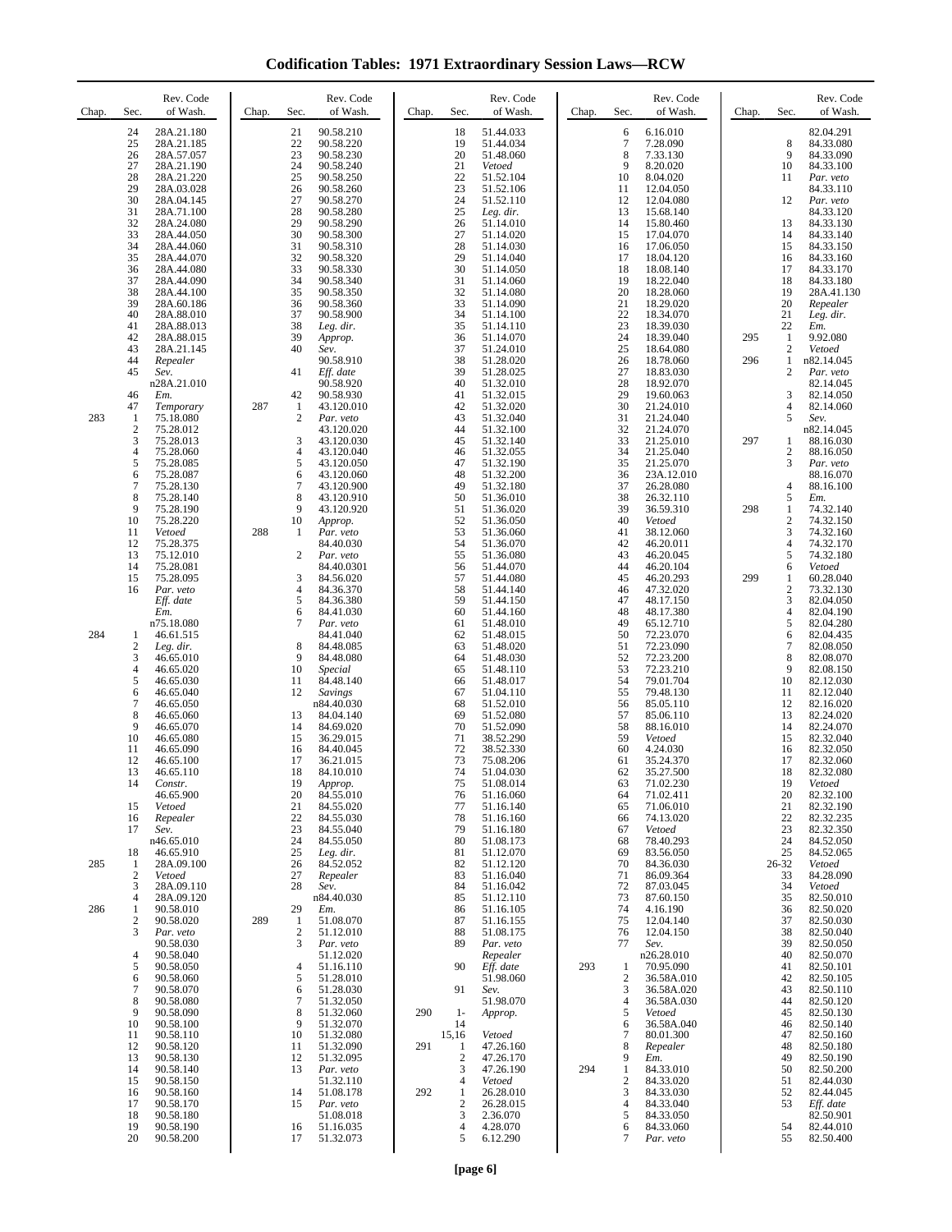**Codification Tables: 1971 Extraordinary Session Laws—RCW**

| Chap.      | Rev. Code<br>Sec.<br>of Wash.                                                                                                                                                                                                                                                                                                                                                                                                                                                                  | Rev. Code<br>Chap.<br>Sec.<br>of Wash.                                                                                                                                                                                                                                                                                                                                                                                                                          | Rev. Code<br>of Wash.<br>Chap.<br>Sec.                                                                                                                                                                                                                                                                                                                                                                                                                                                                                | Rev. Code<br>Sec.<br>of Wash.<br>Chap.                                                                                                                                                                                                                                                                                                                                                                                                                                                       | Rev. Code<br>Sec.<br>of Wash.<br>Chap.                                                                                                                                                                                                                                                                                                                                                                                                                                             |
|------------|------------------------------------------------------------------------------------------------------------------------------------------------------------------------------------------------------------------------------------------------------------------------------------------------------------------------------------------------------------------------------------------------------------------------------------------------------------------------------------------------|-----------------------------------------------------------------------------------------------------------------------------------------------------------------------------------------------------------------------------------------------------------------------------------------------------------------------------------------------------------------------------------------------------------------------------------------------------------------|-----------------------------------------------------------------------------------------------------------------------------------------------------------------------------------------------------------------------------------------------------------------------------------------------------------------------------------------------------------------------------------------------------------------------------------------------------------------------------------------------------------------------|----------------------------------------------------------------------------------------------------------------------------------------------------------------------------------------------------------------------------------------------------------------------------------------------------------------------------------------------------------------------------------------------------------------------------------------------------------------------------------------------|------------------------------------------------------------------------------------------------------------------------------------------------------------------------------------------------------------------------------------------------------------------------------------------------------------------------------------------------------------------------------------------------------------------------------------------------------------------------------------|
|            | 28A.21.180<br>24<br>25<br>28A.21.185<br>26<br>28A.57.057<br>27<br>28A.21.190<br>28<br>28A.21.220<br>29<br>28A.03.028<br>30<br>28A.04.145<br>31<br>28A.71.100<br>32<br>28A.24.080<br>33<br>28A.44.050<br>34<br>28A.44.060<br>35<br>28A.44.070<br>36<br>28A.44.080<br>37<br>28A.44.090                                                                                                                                                                                                           | 90.58.210<br>21<br>22<br>90.58.220<br>23<br>90.58.230<br>24<br>90.58.240<br>25<br>90.58.250<br>26<br>90.58.260<br>27<br>90.58.270<br>28<br>90.58.280<br>29<br>90.58.290<br>30<br>90.58.300<br>31<br>90.58.310<br>32<br>90.58.320<br>33<br>90.58.330<br>34<br>90.58.340                                                                                                                                                                                          | 51.44.033<br>18<br>19<br>51.44.034<br>20<br>51.48.060<br>21<br>Vetoed<br>22<br>51.52.104<br>23<br>51.52.106<br>24<br>51.52.110<br>25<br>Leg. dir.<br>26<br>51.14.010<br>27<br>51.14.020<br>28<br>51.14.030<br>29<br>51.14.040<br>30<br>51.14.050<br>31<br>51.14.060                                                                                                                                                                                                                                                   | 6.16.010<br>6<br>7<br>7.28.090<br>8<br>7.33.130<br>9<br>8.20.020<br>10<br>8.04.020<br>11<br>12.04.050<br>12<br>12.04.080<br>13<br>15.68.140<br>14<br>15.80.460<br>15<br>17.04.070<br>16<br>17.06.050<br>17<br>18.04.120<br>18<br>18.08.140<br>19<br>18.22.040                                                                                                                                                                                                                                | 82.04.291<br>8<br>84.33.080<br>9<br>84.33.090<br>10<br>84.33.100<br>11<br>Par. veto<br>84.33.110<br>12<br>Par. veto<br>84.33.120<br>13<br>84.33.130<br>14<br>84.33.140<br>15<br>84.33.150<br>84.33.160<br>16<br>17<br>84.33.170<br>84.33.180<br>18                                                                                                                                                                                                                                 |
|            | 38<br>28A.44.100<br>39<br>28A.60.186<br>40<br>28A.88.010<br>41<br>28A.88.013<br>42<br>28A.88.015<br>43<br>28A.21.145<br>44<br>Repealer<br>45<br>Sev.                                                                                                                                                                                                                                                                                                                                           | 35<br>90.58.350<br>36<br>90.58.360<br>37<br>90.58.900<br>38<br>Leg. dir.<br>39<br>Approp.<br>40<br>Sev.<br>90.58.910<br>41<br>Eff. date                                                                                                                                                                                                                                                                                                                         | 32<br>51.14.080<br>33<br>51.14.090<br>34<br>51.14.100<br>35<br>51.14.110<br>36<br>51.14.070<br>37<br>51.24.010<br>38<br>51.28.020<br>39<br>51.28.025                                                                                                                                                                                                                                                                                                                                                                  | 20<br>18.28.060<br>21<br>18.29.020<br>22<br>18.34.070<br>23<br>18.39.030<br>24<br>18.39.040<br>25<br>18.64.080<br>26<br>18.78.060<br>27<br>18.83.030                                                                                                                                                                                                                                                                                                                                         | 19<br>28A.41.130<br>20<br>Repealer<br>21<br>Leg. dir.<br>22<br>Em.<br>$\mathbf{1}$<br>9.92.080<br>295<br>$\overline{2}$<br>Vetoed<br>296<br>1<br>n82.14.045<br>$\overline{c}$<br>Par. veto                                                                                                                                                                                                                                                                                         |
| 283        | n28A.21.010<br>46<br>Em.<br>47<br>Temporary<br>75.18.080<br>1<br>2<br>75.28.012<br>3<br>75.28.013<br>4<br>75.28.060                                                                                                                                                                                                                                                                                                                                                                            | 90.58.920<br>42<br>90.58.930<br>287<br>1<br>43.120.010<br>$\mathfrak{2}$<br>Par. veto<br>43.120.020<br>3<br>43.120.030<br>4<br>43.120.040                                                                                                                                                                                                                                                                                                                       | 40<br>51.32.010<br>41<br>51.32.015<br>42<br>51.32.020<br>43<br>51.32.040<br>44<br>51.32.100<br>45<br>51.32.140<br>46<br>51.32.055                                                                                                                                                                                                                                                                                                                                                                                     | 28<br>18.92.070<br>29<br>19.60.063<br>30<br>21.24.010<br>31<br>21.24.040<br>32<br>21.24.070<br>33<br>21.25.010<br>34<br>21.25.040                                                                                                                                                                                                                                                                                                                                                            | 82.14.045<br>3<br>82.14.050<br>4<br>82.14.060<br>5<br>Sev.<br>n82.14.045<br>297<br>1<br>88.16.030<br>$\overline{c}$<br>88.16.050                                                                                                                                                                                                                                                                                                                                                   |
|            | 5<br>75.28.085<br>6<br>75.28.087<br>7<br>75.28.130<br>8<br>75.28.140<br>9<br>75.28.190<br>75.28.220<br>10<br>Vetoed<br>11<br>12<br>75.28.375                                                                                                                                                                                                                                                                                                                                                   | 5<br>43.120.050<br>6<br>43.120.060<br>7<br>43.120.900<br>8<br>43.120.910<br>9<br>43.120.920<br>10<br>Approp.<br>288<br>Par. veto<br>1<br>84.40.030                                                                                                                                                                                                                                                                                                              | 47<br>51.32.190<br>48<br>51.32.200<br>51.32.180<br>49<br>50<br>51.36.010<br>51<br>51.36.020<br>52<br>51.36.050<br>53<br>51.36.060<br>54<br>51.36.070                                                                                                                                                                                                                                                                                                                                                                  | 35<br>21.25.070<br>36<br>23A.12.010<br>37<br>26.28.080<br>38<br>26.32.110<br>39<br>36.59.310<br>40<br>Vetoed<br>41<br>38.12.060<br>42<br>46.20.011                                                                                                                                                                                                                                                                                                                                           | 3<br>Par. veto<br>88.16.070<br>$\overline{4}$<br>88.16.100<br>5<br>Em.<br>298<br>1<br>74.32.140<br>$\overline{c}$<br>74.32.150<br>3<br>74.32.160<br>$\overline{4}$<br>74.32.170                                                                                                                                                                                                                                                                                                    |
|            | 13<br>75.12.010<br>14<br>75.28.081<br>15<br>75.28.095<br>16<br>Par. veto<br>Eff. date<br>Em.<br>n75.18.080                                                                                                                                                                                                                                                                                                                                                                                     | 2<br>Par. veto<br>84.40.0301<br>3<br>84.56.020<br>$\overline{4}$<br>84.36.370<br>5<br>84.36.380<br>6<br>84.41.030<br>7<br>Par. veto                                                                                                                                                                                                                                                                                                                             | 55<br>51.36.080<br>56<br>51.44.070<br>57<br>51.44.080<br>51.44.140<br>58<br>59<br>51.44.150<br>60<br>51.44.160<br>61<br>51.48.010                                                                                                                                                                                                                                                                                                                                                                                     | 43<br>46.20.045<br>44<br>46.20.104<br>45<br>46.20.293<br>46<br>47.32.020<br>47<br>48.17.150<br>48<br>48.17.380<br>49<br>65.12.710                                                                                                                                                                                                                                                                                                                                                            | 5<br>74.32.180<br>6<br>Vetoed<br>299<br>1<br>60.28.040<br>$\boldsymbol{2}$<br>73.32.130<br>3<br>82.04.050<br>82.04.190<br>$\overline{4}$<br>5<br>82.04.280                                                                                                                                                                                                                                                                                                                         |
| 284        | 46.61.515<br>1<br>$\overline{2}$<br>Leg. dir.<br>3<br>46.65.010<br>4<br>46.65.020<br>5<br>46.65.030<br>6<br>46.65.040<br>7<br>46.65.050<br>8<br>46.65.060<br>9<br>46.65.070<br>10<br>46.65.080<br>11<br>46.65.090<br>12<br>46.65.100<br>13<br>46.65.110<br>14<br>Constr.<br>46.65.900<br>15<br>Vetoed<br>16<br>Repealer<br>17<br>Sev.<br>n46.65.010<br>18<br>46.65.910                                                                                                                         | 84.41.040<br>8<br>84.48.085<br>9<br>84.48.080<br>10<br><i>Special</i><br>11<br>84.48.140<br>12<br>Savings<br>n84.40.030<br>13<br>84.04.140<br>14<br>84.69.020<br>15<br>36.29.015<br>16<br>84.40.045<br>17<br>36.21.015<br>18<br>84.10.010<br>19<br>Approp.<br>20<br>84.55.010<br>21<br>84.55.020<br>22<br>84.55.030<br>23<br>84.55.040<br>24<br>84.55.050<br>25<br>Leg. dir.                                                                                    | 62<br>51.48.015<br>63<br>51.48.020<br>64<br>51.48.030<br>65<br>51.48.110<br>66<br>51.48.017<br>67<br>51.04.110<br>68<br>51.52.010<br>69<br>51.52.080<br>70<br>51.52.090<br>71<br>38.52.290<br>72<br>38.52.330<br>73<br>75.08.206<br>74<br>51.04.030<br>75<br>51.08.014<br>76<br>51.16.060<br>77<br>51.16.140<br>51.16.160<br>78<br>79<br>51.16.180<br>80<br>51.08.173<br>51.12.070<br>81                                                                                                                              | 50<br>72.23.070<br>51<br>72.23.090<br>52<br>72.23.200<br>53<br>72.23.210<br>54<br>79.01.704<br>55<br>79.48.130<br>56<br>85.05.110<br>57<br>85.06.110<br>58<br>88.16.010<br>59<br>Vetoed<br>60<br>4.24.030<br>61<br>35.24.370<br>62<br>35.27.500<br>63<br>71.02.230<br>64<br>71.02.411<br>71.06.010<br>65<br>74.13.020<br>66<br>67<br>Vetoed<br>78.40.293<br>68<br>83.56.050<br>69                                                                                                            | 82.04.435<br>6<br>$\overline{7}$<br>82.08.050<br>8<br>82.08.070<br>9<br>82.08.150<br>10<br>82.12.030<br>11<br>82.12.040<br>12<br>82.16.020<br>13<br>82.24.020<br>14<br>82.24.070<br>15<br>82.32.040<br>16<br>82.32.050<br>17<br>82.32.060<br>18<br>82.32.080<br>19<br>Vetoed<br>20<br>82.32.100<br>21<br>82.32.190<br>82.32.235<br>22<br>23<br>82.32.350<br>84.52.050<br>24<br>25<br>84.52.065                                                                                     |
| 285<br>286 | 28A.09.100<br>1<br>$\overline{2}$<br>Vetoed<br>28A.09.110<br>3<br>28A.09.120<br>4<br>90.58.010<br>1<br>$\overline{2}$<br>90.58.020<br>3<br>Par. veto<br>90.58.030<br>4<br>90.58.040<br>90.58.050<br>5<br>6<br>90.58.060<br>7<br>90.58.070<br>8<br>90.58.080<br>9<br>90.58.090<br>10<br>90.58.100<br>11<br>90.58.110<br>12<br>90.58.120<br>13<br>90.58.130<br>90.58.140<br>14<br>15<br>90.58.150<br>90.58.160<br>16<br>17<br>90.58.170<br>90.58.180<br>18<br>19<br>90.58.190<br>20<br>90.58.200 | 26<br>84.52.052<br>27<br>Repealer<br>28<br>Sev.<br>n84.40.030<br>29<br>Em.<br>289<br>1<br>51.08.070<br>$\mathfrak{2}$<br>51.12.010<br>3<br>Par. veto<br>51.12.020<br>51.16.110<br>4<br>5<br>51.28.010<br>51.28.030<br>6<br>51.32.050<br>7<br>8<br>51.32.060<br>9<br>51.32.070<br>10<br>51.32.080<br>51.32.090<br>11<br>12<br>51.32.095<br>13<br>Par. veto<br>51.32.110<br>14<br>51.08.178<br>15<br>Par. veto<br>51.08.018<br>16<br>51.16.035<br>17<br>51.32.073 | 51.12.120<br>82<br>83<br>51.16.040<br>51.16.042<br>84<br>85<br>51.12.110<br>51.16.105<br>86<br>51.16.155<br>87<br>51.08.175<br>88<br>Par. veto<br>89<br>Repealer<br>90<br>Eff. date<br>51.98.060<br>91<br>Sev.<br>51.98.070<br>290<br>1-<br>Approp.<br>14<br>15,16<br>Vetoed<br>291<br>1<br>47.26.160<br>$\overline{c}$<br>47.26.170<br>3<br>47.26.190<br>$\overline{4}$<br>Vetoed<br>292<br>$\mathbf{1}$<br>26.28.010<br>$\overline{c}$<br>26.28.015<br>3<br>2.36.070<br>$\overline{4}$<br>4.28.070<br>5<br>6.12.290 | 70<br>84.36.030<br>71<br>86.09.364<br>87.03.045<br>72<br>73<br>87.60.150<br>74<br>4.16.190<br>75<br>12.04.140<br>76<br>12.04.150<br>77<br>Sev.<br>n26.28.010<br>293<br>$\mathbf{1}$<br>70.95.090<br>$\overline{c}$<br>36.58A.010<br>3<br>36.58A.020<br>4<br>36.58A.030<br>5<br>Vetoed<br>6<br>36.58A.040<br>7<br>80.01.300<br>8<br>Repealer<br>9<br>Em.<br>294<br>84.33.010<br>1<br>2<br>84.33.020<br>3<br>84.33.030<br>4<br>84.33.040<br>5<br>84.33.050<br>84.33.060<br>6<br>7<br>Par. veto | $26 - 32$<br>Vetoed<br>84.28.090<br>33<br>34<br>Vetoed<br>35<br>82.50.010<br>36<br>82.50.020<br>37<br>82.50.030<br>38<br>82.50.040<br>39<br>82.50.050<br>40<br>82.50.070<br>82.50.101<br>41<br>42<br>82.50.105<br>82.50.110<br>43<br>44<br>82.50.120<br>82.50.130<br>45<br>46<br>82.50.140<br>47<br>82.50.160<br>82.50.180<br>48<br>49<br>82.50.190<br>50<br>82.50.200<br>51<br>82.44.030<br>82.44.045<br>52<br>53<br>Eff. date<br>82.50.901<br>54<br>82.44.010<br>55<br>82.50.400 |